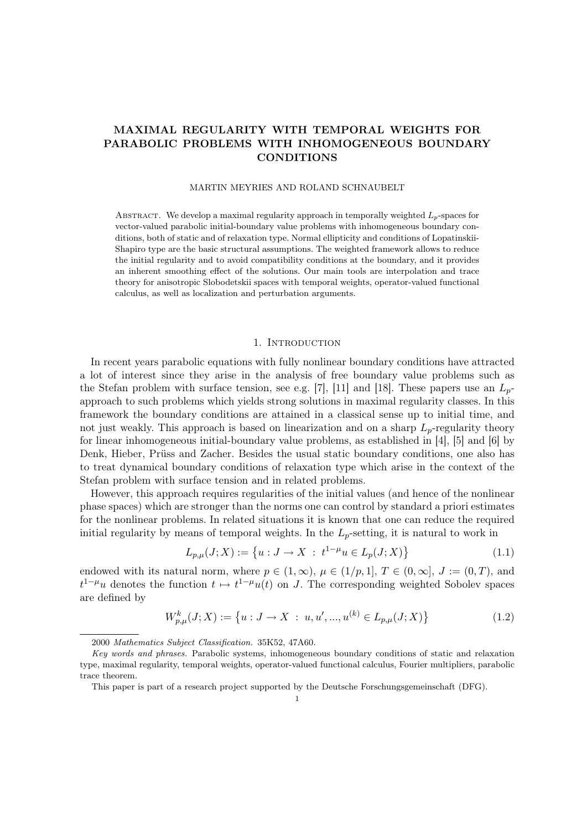# MAXIMAL REGULARITY WITH TEMPORAL WEIGHTS FOR PARABOLIC PROBLEMS WITH INHOMOGENEOUS BOUNDARY **CONDITIONS**

### MARTIN MEYRIES AND ROLAND SCHNAUBELT

ABSTRACT. We develop a maximal regularity approach in temporally weighted  $L_p$ -spaces for vector-valued parabolic initial-boundary value problems with inhomogeneous boundary conditions, both of static and of relaxation type. Normal ellipticity and conditions of Lopatinskii-Shapiro type are the basic structural assumptions. The weighted framework allows to reduce the initial regularity and to avoid compatibility conditions at the boundary, and it provides an inherent smoothing effect of the solutions. Our main tools are interpolation and trace theory for anisotropic Slobodetskii spaces with temporal weights, operator-valued functional calculus, as well as localization and perturbation arguments.

### 1. INTRODUCTION

In recent years parabolic equations with fully nonlinear boundary conditions have attracted a lot of interest since they arise in the analysis of free boundary value problems such as the Stefan problem with surface tension, see e.g. [7], [11] and [18]. These papers use an  $L_p$ approach to such problems which yields strong solutions in maximal regularity classes. In this framework the boundary conditions are attained in a classical sense up to initial time, and not just weakly. This approach is based on linearization and on a sharp  $L_p$ -regularity theory for linear inhomogeneous initial-boundary value problems, as established in [4], [5] and [6] by Denk, Hieber, Prüss and Zacher. Besides the usual static boundary conditions, one also has to treat dynamical boundary conditions of relaxation type which arise in the context of the Stefan problem with surface tension and in related problems.

However, this approach requires regularities of the initial values (and hence of the nonlinear phase spaces) which are stronger than the norms one can control by standard a priori estimates for the nonlinear problems. In related situations it is known that one can reduce the required initial regularity by means of temporal weights. In the  $L_p$ -setting, it is natural to work in

$$
L_{p,\mu}(J;X) := \{ u : J \to X : t^{1-\mu}u \in L_p(J;X) \}
$$
\n(1.1)

endowed with its natural norm, where  $p \in (1,\infty)$ ,  $\mu \in (1/p,1]$ ,  $T \in (0,\infty]$ ,  $J := (0,T)$ , and  $t^{1-\mu}u$  denotes the function  $t \mapsto t^{1-\mu}u(t)$  on J. The corresponding weighted Sobolev spaces are defined by

$$
W_{p,\mu}^{k}(J;X) := \left\{ u: J \to X \; : \; u, u', ..., u^{(k)} \in L_{p,\mu}(J;X) \right\}
$$
\n(1.2)

2000 Mathematics Subject Classification. 35K52, 47A60.

Key words and phrases. Parabolic systems, inhomogeneous boundary conditions of static and relaxation type, maximal regularity, temporal weights, operator-valued functional calculus, Fourier multipliers, parabolic trace theorem.

This paper is part of a research project supported by the Deutsche Forschungsgemeinschaft (DFG).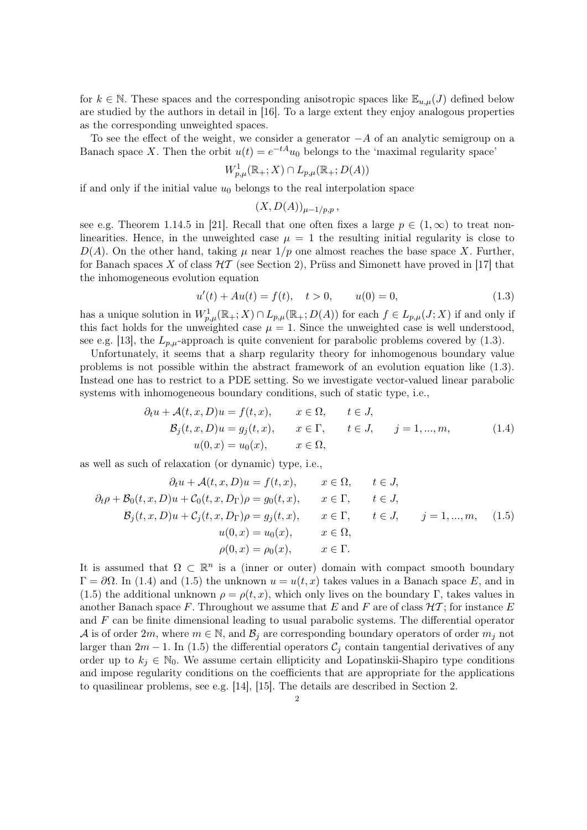for  $k \in \mathbb{N}$ . These spaces and the corresponding anisotropic spaces like  $\mathbb{E}_{u,\mu}(J)$  defined below are studied by the authors in detail in [16]. To a large extent they enjoy analogous properties as the corresponding unweighted spaces.

To see the effect of the weight, we consider a generator  $-A$  of an analytic semigroup on a Banach space X. Then the orbit  $u(t) = e^{-tA}u_0$  belongs to the 'maximal regularity space'

$$
W_{p,\mu}^1(\mathbb{R}_+;X)\cap L_{p,\mu}(\mathbb{R}_+;D(A))
$$

if and only if the initial value  $u_0$  belongs to the real interpolation space

$$
(X,D(A))_{\mu-1/p,p},
$$

see e.g. Theorem 1.14.5 in [21]. Recall that one often fixes a large  $p \in (1,\infty)$  to treat nonlinearities. Hence, in the unweighted case  $\mu = 1$  the resulting initial regularity is close to  $D(A)$ . On the other hand, taking  $\mu$  near  $1/p$  one almost reaches the base space X. Further, for Banach spaces X of class  $H\mathcal{T}$  (see Section 2), Prüss and Simonett have proved in [17] that the inhomogeneous evolution equation

$$
u'(t) + Au(t) = f(t), \quad t > 0, \qquad u(0) = 0,
$$
\n(1.3)

has a unique solution in  $W_{p,\mu}^1(\mathbb{R}_+;X) \cap L_{p,\mu}(\mathbb{R}_+;D(A))$  for each  $f \in L_{p,\mu}(J;X)$  if and only if this fact holds for the unweighted case  $\mu = 1$ . Since the unweighted case is well understood, see e.g. [13], the  $L_{p,\mu}$ -approach is quite convenient for parabolic problems covered by (1.3).

Unfortunately, it seems that a sharp regularity theory for inhomogenous boundary value problems is not possible within the abstract framework of an evolution equation like (1.3). Instead one has to restrict to a PDE setting. So we investigate vector-valued linear parabolic systems with inhomogeneous boundary conditions, such of static type, i.e.,

$$
\partial_t u + \mathcal{A}(t, x, D)u = f(t, x), \qquad x \in \Omega, \qquad t \in J,
$$
  
\n
$$
\mathcal{B}_j(t, x, D)u = g_j(t, x), \qquad x \in \Gamma, \qquad t \in J, \qquad j = 1, ..., m,
$$
  
\n
$$
u(0, x) = u_0(x), \qquad x \in \Omega,
$$
  
\n(1.4)

as well as such of relaxation (or dynamic) type, i.e.,

$$
\partial_t u + \mathcal{A}(t, x, D)u = f(t, x), \qquad x \in \Omega, \qquad t \in J,
$$
  
\n
$$
\partial_t \rho + \mathcal{B}_0(t, x, D)u + \mathcal{C}_0(t, x, D_\Gamma)\rho = g_0(t, x), \qquad x \in \Gamma, \qquad t \in J,
$$
  
\n
$$
\mathcal{B}_j(t, x, D)u + \mathcal{C}_j(t, x, D_\Gamma)\rho = g_j(t, x), \qquad x \in \Gamma, \qquad t \in J, \qquad j = 1, ..., m, \qquad (1.5)
$$
  
\n
$$
u(0, x) = u_0(x), \qquad x \in \Omega,
$$
  
\n
$$
\rho(0, x) = \rho_0(x), \qquad x \in \Gamma.
$$

It is assumed that  $\Omega \subset \mathbb{R}^n$  is a (inner or outer) domain with compact smooth boundary  $Γ = ∂Ω$ . In (1.4) and (1.5) the unknown  $u = u(t, x)$  takes values in a Banach space E, and in (1.5) the additional unknown  $\rho = \rho(t, x)$ , which only lives on the boundary Γ, takes values in another Banach space F. Throughout we assume that E and F are of class  $H\mathcal{T}$ ; for instance E and  $F$  can be finite dimensional leading to usual parabolic systems. The differential operator A is of order 2m, where  $m \in \mathbb{N}$ , and  $\mathcal{B}_i$  are corresponding boundary operators of order  $m_i$  not larger than 2m − 1. In (1.5) the differential operators  $\mathcal{C}_j$  contain tangential derivatives of any order up to  $k_j \in \mathbb{N}_0$ . We assume certain ellipticity and Lopatinskii-Shapiro type conditions and impose regularity conditions on the coefficients that are appropriate for the applications to quasilinear problems, see e.g. [14], [15]. The details are described in Section 2.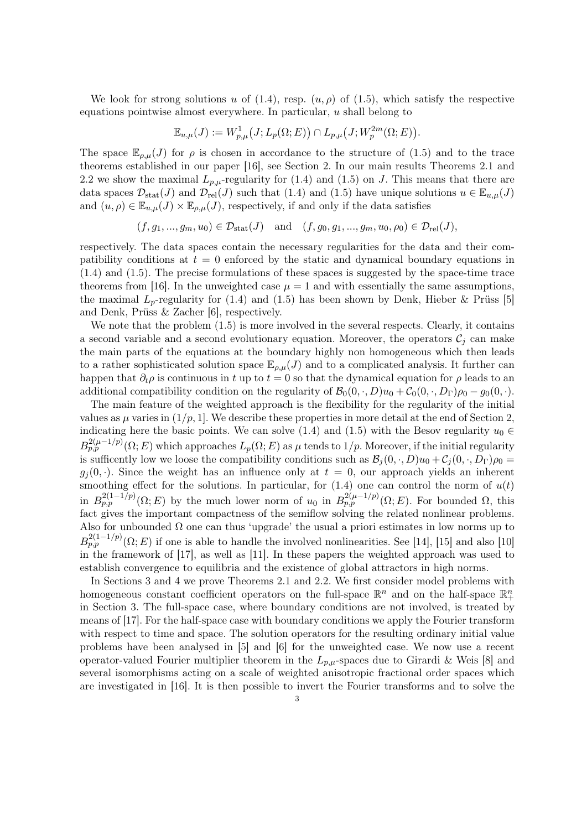We look for strong solutions u of  $(1.4)$ , resp.  $(u, \rho)$  of  $(1.5)$ , which satisfy the respective equations pointwise almost everywhere. In particular,  $u$  shall belong to

$$
\mathbb{E}_{u,\mu}(J) := W^1_{p,\mu}(J;L_p(\Omega;E)) \cap L_{p,\mu}(J;W^{2m}_p(\Omega;E)).
$$

The space  $\mathbb{E}_{\rho,\mu}(J)$  for  $\rho$  is chosen in accordance to the structure of (1.5) and to the trace theorems established in our paper [16], see Section 2. In our main results Theorems 2.1 and 2.2 we show the maximal  $L_{p,\mu}$ -regularity for (1.4) and (1.5) on J. This means that there are data spaces  $\mathcal{D}_{\text{stat}}(J)$  and  $\mathcal{D}_{\text{rel}}(J)$  such that (1.4) and (1.5) have unique solutions  $u \in \mathbb{E}_{u,\mu}(J)$ and  $(u, \rho) \in \mathbb{E}_{u,\mu}(J) \times \mathbb{E}_{\rho,\mu}(J)$ , respectively, if and only if the data satisfies

 $(f, g_1, ..., g_m, u_0) \in \mathcal{D}_{\text{stat}}(J)$  and  $(f, g_0, g_1, ..., g_m, u_0, \rho_0) \in \mathcal{D}_{\text{rel}}(J)$ ,

respectively. The data spaces contain the necessary regularities for the data and their compatibility conditions at  $t = 0$  enforced by the static and dynamical boundary equations in (1.4) and (1.5). The precise formulations of these spaces is suggested by the space-time trace theorems from [16]. In the unweighted case  $\mu = 1$  and with essentially the same assumptions, the maximal  $L_p$ -regularity for (1.4) and (1.5) has been shown by Denk, Hieber & Prüss [5] and Denk, Prüss & Zacher [6], respectively.

We note that the problem  $(1.5)$  is more involved in the several respects. Clearly, it contains a second variable and a second evolutionary equation. Moreover, the operators  $\mathcal{C}_i$  can make the main parts of the equations at the boundary highly non homogeneous which then leads to a rather sophisticated solution space  $\mathbb{E}_{\rho,\mu}(J)$  and to a complicated analysis. It further can happen that  $\partial_t \rho$  is continuous in t up to  $t = 0$  so that the dynamical equation for  $\rho$  leads to an additional compatibility condition on the regularity of  $\mathcal{B}_0(0, \cdot, D)u_0 + \mathcal{C}_0(0, \cdot, D_\Gamma)\rho_0 - g_0(0, \cdot)$ .

The main feature of the weighted approach is the flexibility for the regularity of the initial values as  $\mu$  varies in  $(1/p, 1]$ . We describe these properties in more detail at the end of Section 2, indicating here the basic points. We can solve (1.4) and (1.5) with the Besov regularity  $u_0 \in$  $B_{p,p}^{2(\mu-1/p)}(\Omega;E)$  which approaches  $L_p(\Omega;E)$  as  $\mu$  tends to  $1/p$ . Moreover, if the initial regularity is sufficently low we loose the compatibility conditions such as  $\mathcal{B}_j(0, \cdot, D)u_0 + \mathcal{C}_j(0, \cdot, D_\Gamma)\rho_0 =$  $g_i(0, \cdot)$ . Since the weight has an influence only at  $t = 0$ , our approach yields an inherent smoothing effect for the solutions. In particular, for  $(1.4)$  one can control the norm of  $u(t)$ in  $B_{p,p}^{2(1-1/p)}(\Omega;E)$  by the much lower norm of  $u_0$  in  $B_{p,p}^{2(\mu-1/p)}(\Omega;E)$ . For bounded  $\Omega$ , this fact gives the important compactness of the semiflow solving the related nonlinear problems. Also for unbounded  $\Omega$  one can thus 'upgrade' the usual a priori estimates in low norms up to  $B_{p,p}^{2(1-1/p)}(\Omega;E)$  if one is able to handle the involved nonlinearities. See [14], [15] and also [10] in the framework of [17], as well as [11]. In these papers the weighted approach was used to establish convergence to equilibria and the existence of global attractors in high norms.

In Sections 3 and 4 we prove Theorems 2.1 and 2.2. We first consider model problems with homogeneous constant coefficient operators on the full-space  $\mathbb{R}^n$  and on the half-space  $\mathbb{R}^n_+$ in Section 3. The full-space case, where boundary conditions are not involved, is treated by means of [17]. For the half-space case with boundary conditions we apply the Fourier transform with respect to time and space. The solution operators for the resulting ordinary initial value problems have been analysed in [5] and [6] for the unweighted case. We now use a recent operator-valued Fourier multiplier theorem in the  $L_{p,\mu}$ -spaces due to Girardi & Weis [8] and several isomorphisms acting on a scale of weighted anisotropic fractional order spaces which are investigated in [16]. It is then possible to invert the Fourier transforms and to solve the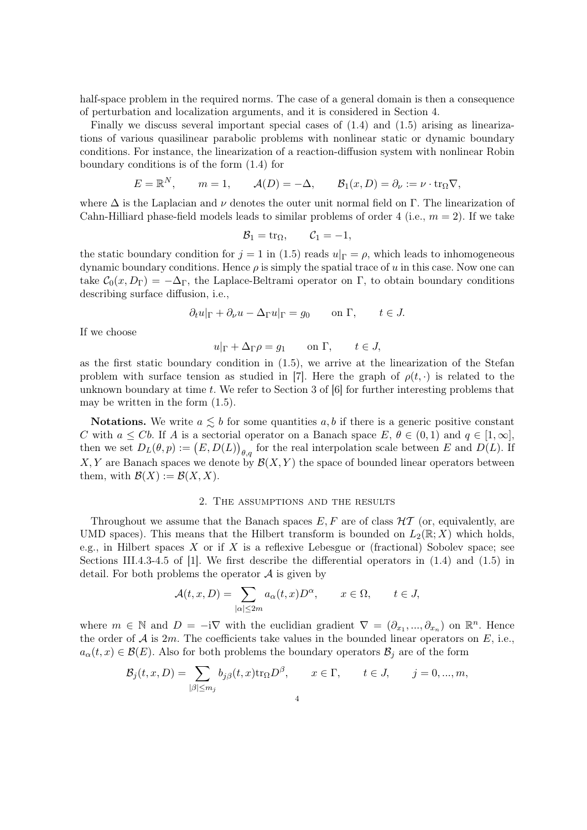half-space problem in the required norms. The case of a general domain is then a consequence of perturbation and localization arguments, and it is considered in Section 4.

Finally we discuss several important special cases of (1.4) and (1.5) arising as linearizations of various quasilinear parabolic problems with nonlinear static or dynamic boundary conditions. For instance, the linearization of a reaction-diffusion system with nonlinear Robin boundary conditions is of the form (1.4) for

$$
E = \mathbb{R}^N
$$
,  $m = 1$ ,  $\mathcal{A}(D) = -\Delta$ ,  $\mathcal{B}_1(x, D) = \partial_\nu := \nu \cdot \text{tr}_{\Omega} \nabla$ ,

where  $\Delta$  is the Laplacian and  $\nu$  denotes the outer unit normal field on Γ. The linearization of Cahn-Hilliard phase-field models leads to similar problems of order 4 (i.e.,  $m = 2$ ). If we take

$$
\mathcal{B}_1 = \mathrm{tr}_{\Omega}, \qquad \mathcal{C}_1 = -1,
$$

the static boundary condition for  $j = 1$  in (1.5) reads  $u|_{\Gamma} = \rho$ , which leads to inhomogeneous dynamic boundary conditions. Hence  $\rho$  is simply the spatial trace of u in this case. Now one can take  $C_0(x, D_\Gamma) = -\Delta_\Gamma$ , the Laplace-Beltrami operator on Γ, to obtain boundary conditions describing surface diffusion, i.e.,

$$
\partial_t u|_{\Gamma} + \partial_\nu u - \Delta_{\Gamma} u|_{\Gamma} = g_0 \qquad \text{on } \Gamma, \qquad t \in J.
$$

If we choose

$$
u|_{\Gamma} + \Delta_{\Gamma} \rho = g_1 \qquad \text{on } \Gamma, \qquad t \in J,
$$

as the first static boundary condition in  $(1.5)$ , we arrive at the linearization of the Stefan problem with surface tension as studied in [7]. Here the graph of  $\rho(t, \cdot)$  is related to the unknown boundary at time t. We refer to Section 3 of  $[6]$  for further interesting problems that may be written in the form (1.5).

**Notations.** We write  $a \leq b$  for some quantities  $a, b$  if there is a generic positive constant C with  $a \leq Cb$ . If A is a sectorial operator on a Banach space  $E, \theta \in (0,1)$  and  $q \in [1,\infty]$ , then we set  $D_{L}(\theta, p) := (E, D(L))_{\theta, q}$  for the real interpolation scale between E and  $D(L)$ . If  $X, Y$  are Banach spaces we denote by  $\mathcal{B}(X, Y)$  the space of bounded linear operators between them, with  $\mathcal{B}(X) := \mathcal{B}(X, X)$ .

### 2. The assumptions and the results

Throughout we assume that the Banach spaces  $E, F$  are of class  $H\mathcal{T}$  (or, equivalently, are UMD spaces). This means that the Hilbert transform is bounded on  $L_2(\mathbb{R}; X)$  which holds, e.g., in Hilbert spaces X or if X is a reflexive Lebesgue or (fractional) Sobolev space; see Sections III.4.3-4.5 of [1]. We first describe the differential operators in (1.4) and (1.5) in detail. For both problems the operator  $A$  is given by

$$
\mathcal{A}(t,x,D) = \sum_{|\alpha| \le 2m} a_{\alpha}(t,x)D^{\alpha}, \qquad x \in \Omega, \qquad t \in J,
$$

where  $m \in \mathbb{N}$  and  $D = -i\nabla$  with the euclidian gradient  $\nabla = (\partial_{x_1}, ..., \partial_{x_n})$  on  $\mathbb{R}^n$ . Hence the order of  $A$  is  $2m$ . The coefficients take values in the bounded linear operators on  $E$ , i.e.,  $a_{\alpha}(t, x) \in \mathcal{B}(E)$ . Also for both problems the boundary operators  $\mathcal{B}_j$  are of the form

$$
\mathcal{B}_j(t, x, D) = \sum_{|\beta| \le m_j} b_{j\beta}(t, x) \text{tr}_{\Omega} D^{\beta}, \qquad x \in \Gamma, \qquad t \in J, \qquad j = 0, ..., m,
$$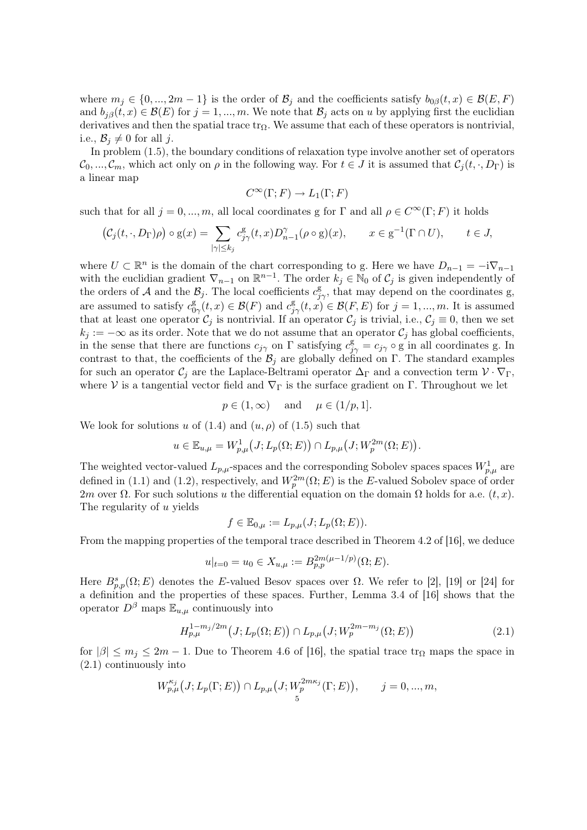where  $m_j \in \{0, ..., 2m-1\}$  is the order of  $\mathcal{B}_j$  and the coefficients satisfy  $b_{0\beta}(t, x) \in \mathcal{B}(E, F)$ and  $b_{i\beta}(t, x) \in \mathcal{B}(E)$  for  $j = 1, ..., m$ . We note that  $\mathcal{B}_j$  acts on u by applying first the euclidian derivatives and then the spatial trace  $tr_{\Omega}$ . We assume that each of these operators is nontrivial, i.e.,  $\mathcal{B}_j \neq 0$  for all j.

In problem (1.5), the boundary conditions of relaxation type involve another set of operators  $\mathcal{C}_0, ..., \mathcal{C}_m$ , which act only on  $\rho$  in the following way. For  $t \in J$  it is assumed that  $\mathcal{C}_j(t, \cdot, D_\Gamma)$  is a linear map

$$
C^{\infty}(\Gamma;F) \to L_1(\Gamma;F)
$$

such that for all  $j = 0, ..., m$ , all local coordinates g for  $\Gamma$  and all  $\rho \in C^{\infty}(\Gamma; F)$  it holds

$$
\left(\mathcal{C}_j(t,\cdot,D_\Gamma)\rho\right)\circ\mathbf{g}(x)=\sum_{|\gamma|\leq k_j}c_{j\gamma}^{\mathbf{g}}(t,x)D_{n-1}^{\gamma}(\rho\circ\mathbf{g})(x),\qquad x\in\mathbf{g}^{-1}(\Gamma\cap U),\qquad t\in J,
$$

where  $U \subset \mathbb{R}^n$  is the domain of the chart corresponding to g. Here we have  $D_{n-1} = -i \nabla_{n-1}$ with the euclidian gradient  $\nabla_{n-1}$  on  $\mathbb{R}^{n-1}$ . The order  $k_j \in \mathbb{N}_0$  of  $\mathcal{C}_j$  is given independently of the orders of A and the  $\mathcal{B}_j$ . The local coefficients  $c_{j\gamma}^{\text{g}}$ , that may depend on the coordinates g, are assumed to satisfy  $c_0^{\rm g}$  $\mathcal{B}_{0\gamma}(t,x) \in \mathcal{B}(F)$  and  $c_{j\gamma}^{\mathcal{B}}(t,x) \in \mathcal{B}(F,E)$  for  $j=1,...,m$ . It is assumed that at least one operator  $C_j$  is nontrivial. If an operator  $C_j$  is trivial, i.e.,  $C_j \equiv 0$ , then we set  $k_j := -\infty$  as its order. Note that we do not assume that an operator  $\mathcal{C}_j$  has global coefficients, in the sense that there are functions  $c_{j\gamma}$  on  $\Gamma$  satisfying  $c_{j\gamma}^{\mathsf{g}} = c_{j\gamma} \circ \mathsf{g}$  in all coordinates g. In contrast to that, the coefficients of the  $\mathcal{B}_j$  are globally defined on Γ. The standard examples for such an operator  $C_i$  are the Laplace-Beltrami operator  $\Delta_{\Gamma}$  and a convection term  $\mathcal{V} \cdot \nabla_{\Gamma}$ , where V is a tangential vector field and  $\nabla_{\Gamma}$  is the surface gradient on  $\Gamma$ . Throughout we let

$$
p \in (1, \infty)
$$
 and  $\mu \in (1/p, 1].$ 

We look for solutions u of  $(1.4)$  and  $(u, \rho)$  of  $(1.5)$  such that

$$
u \in \mathbb{E}_{u,\mu} = W_{p,\mu}^1(J; L_p(\Omega; E)) \cap L_{p,\mu}(J; W_p^{2m}(\Omega; E)).
$$

The weighted vector-valued  $L_{p,\mu}$ -spaces and the corresponding Sobolev spaces spaces  $W_{p,\mu}^1$  are defined in (1.1) and (1.2), respectively, and  $W_p^{2m}(\Omega; E)$  is the E-valued Sobolev space of order 2m over  $\Omega$ . For such solutions u the differential equation on the domain  $\Omega$  holds for a.e.  $(t, x)$ . The regularity of u yields

$$
f \in \mathbb{E}_{0,\mu} := L_{p,\mu}(J; L_p(\Omega; E)).
$$

From the mapping properties of the temporal trace described in Theorem 4.2 of [16], we deduce

$$
u|_{t=0} = u_0 \in X_{u,\mu} := B_{p,p}^{2m(\mu-1/p)}(\Omega;E).
$$

Here  $B_{p,p}^s(\Omega; E)$  denotes the E-valued Besov spaces over  $\Omega$ . We refer to [2], [19] or [24] for a definition and the properties of these spaces. Further, Lemma 3.4 of [16] shows that the operator  $D^{\beta}$  maps  $\mathbb{E}_{u,\mu}$  continuously into

$$
H_{p,\mu}^{1-m_j/2m}(J;L_p(\Omega;E)) \cap L_{p,\mu}(J;W_p^{2m-m_j}(\Omega;E))
$$
\n(2.1)

for  $|\beta| \le m_j \le 2m - 1$ . Due to Theorem 4.6 of [16], the spatial trace  $\text{tr}_{\Omega}$  maps the space in (2.1) continuously into

$$
W_{p,\mu}^{\kappa_j}(J;L_p(\Gamma;E)) \cap L_{p,\mu}(J;W_p^{2m\kappa_j}(\Gamma;E)), \qquad j = 0,...,m,
$$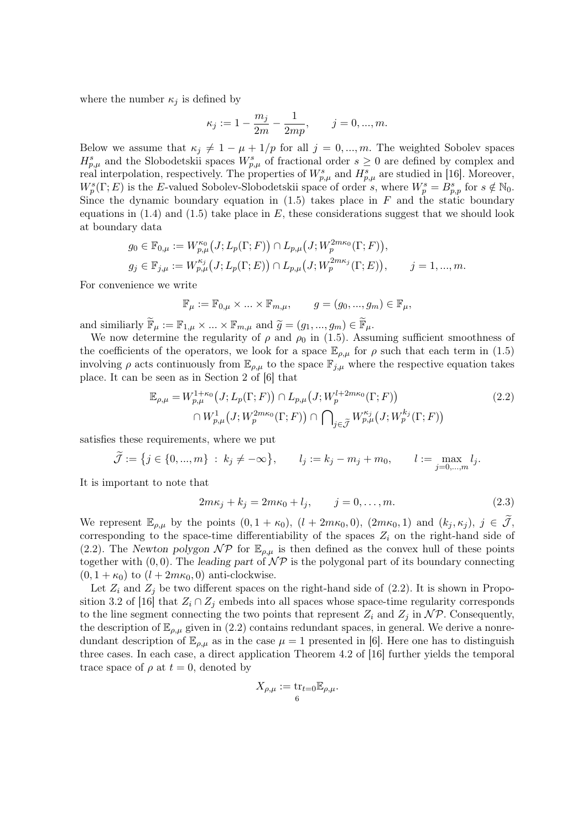where the number  $\kappa_j$  is defined by

$$
\kappa_j := 1 - \frac{m_j}{2m} - \frac{1}{2mp}, \qquad j = 0, ..., m.
$$

Below we assume that  $\kappa_j \neq 1 - \mu + 1/p$  for all  $j = 0, ..., m$ . The weighted Sobolev spaces  $H_{p,\mu}^s$  and the Slobodetskii spaces  $W_{p,\mu}^s$  of fractional order  $s\geq 0$  are defined by complex and real interpolation, respectively. The properties of  $W_{p,\mu}^s$  and  $H_{p,\mu}^s$  are studied in [16]. Moreover,  $W_p^s(\Gamma; E)$  is the E-valued Sobolev-Slobodetskii space of order s, where  $W_p^s = B_{p,p}^s$  for  $s \notin \mathbb{N}_0$ . Since the dynamic boundary equation in  $(1.5)$  takes place in F and the static boundary equations in  $(1.4)$  and  $(1.5)$  take place in E, these considerations suggest that we should look at boundary data

$$
g_0 \in \mathbb{F}_{0,\mu} := W_{p,\mu}^{\kappa_0}(J; L_p(\Gamma; F)) \cap L_{p,\mu}(J; W_p^{2m\kappa_0}(\Gamma; F)),
$$
  

$$
g_j \in \mathbb{F}_{j,\mu} := W_{p,\mu}^{\kappa_j}(J; L_p(\Gamma; E)) \cap L_{p,\mu}(J; W_p^{2m\kappa_j}(\Gamma; E)), \qquad j = 1, ..., m.
$$

For convenience we write

$$
\mathbb{F}_{\mu}:=\mathbb{F}_{0,\mu}\times\ldots\times\mathbb{F}_{m,\mu},\qquad g=(g_0,...,g_m)\in\mathbb{F}_{\mu},
$$

and similiarly  $\widetilde{\mathbb{F}}_{\mu} := \mathbb{F}_{1,\mu} \times ... \times \mathbb{F}_{m,\mu}$  and  $\widetilde{g} = (g_1, ..., g_m) \in \widetilde{\mathbb{F}}_{\mu}$ .

We now determine the regularity of  $\rho$  and  $\rho_0$  in (1.5). Assuming sufficient smoothness of the coefficients of the operators, we look for a space  $\mathbb{E}_{\rho,\mu}$  for  $\rho$  such that each term in (1.5) involving  $\rho$  acts continuously from  $\mathbb{E}_{\rho,\mu}$  to the space  $\mathbb{F}_{i,\mu}$  where the respective equation takes place. It can be seen as in Section 2 of [6] that

$$
\mathbb{E}_{\rho,\mu} = W_{p,\mu}^{1+\kappa_0}(J;L_p(\Gamma;F)) \cap L_{p,\mu}(J;W_p^{l+2m\kappa_0}(\Gamma;F))
$$
\n
$$
\cap W_{p,\mu}^1(J;W_p^{2m\kappa_0}(\Gamma;F)) \cap \bigcap_{j \in \widetilde{\mathcal{J}}} W_{p,\mu}^{\kappa_j}(J;W_p^{k_j}(\Gamma;F))
$$
\n(2.2)

satisfies these requirements, where we put

$$
\widetilde{\mathcal{J}} := \{ j \in \{0, ..., m\} : k_j \neq -\infty \}, \qquad l_j := k_j - m_j + m_0, \qquad l := \max_{j=0, ..., m} l_j.
$$

It is important to note that

$$
2m\kappa_j + k_j = 2m\kappa_0 + l_j, \qquad j = 0, ..., m.
$$
 (2.3)

We represent  $\mathbb{E}_{\rho,\mu}$  by the points  $(0, 1 + \kappa_0)$ ,  $(l + 2m\kappa_0, 0)$ ,  $(2m\kappa_0, 1)$  and  $(k_j, \kappa_j)$ ,  $j \in \mathcal{J}$ , corresponding to the space-time differentiability of the spaces  $Z_i$  on the right-hand side of (2.2). The Newton polygon  $\mathcal{NP}$  for  $\mathbb{E}_{\rho,\mu}$  is then defined as the convex hull of these points together with  $(0, 0)$ . The leading part of  $\mathcal{NP}$  is the polygonal part of its boundary connecting  $(0, 1 + \kappa_0)$  to  $(l + 2m\kappa_0, 0)$  anti-clockwise.

Let  $Z_i$  and  $Z_j$  be two different spaces on the right-hand side of (2.2). It is shown in Proposition 3.2 of [16] that  $Z_i \cap Z_j$  embeds into all spaces whose space-time regularity corresponds to the line segment connecting the two points that represent  $Z_i$  and  $Z_j$  in  $\mathcal{NP}$ . Consequently, the description of  $\mathbb{E}_{\rho,\mu}$  given in (2.2) contains redundant spaces, in general. We derive a nonredundant description of  $\mathbb{E}_{\rho,\mu}$  as in the case  $\mu = 1$  presented in [6]. Here one has to distinguish three cases. In each case, a direct application Theorem 4.2 of [16] further yields the temporal trace space of  $\rho$  at  $t = 0$ , denoted by

$$
X_{\rho,\mu} := \operatorname{tr}_{t=0} \mathbb{E}_{\rho,\mu}.
$$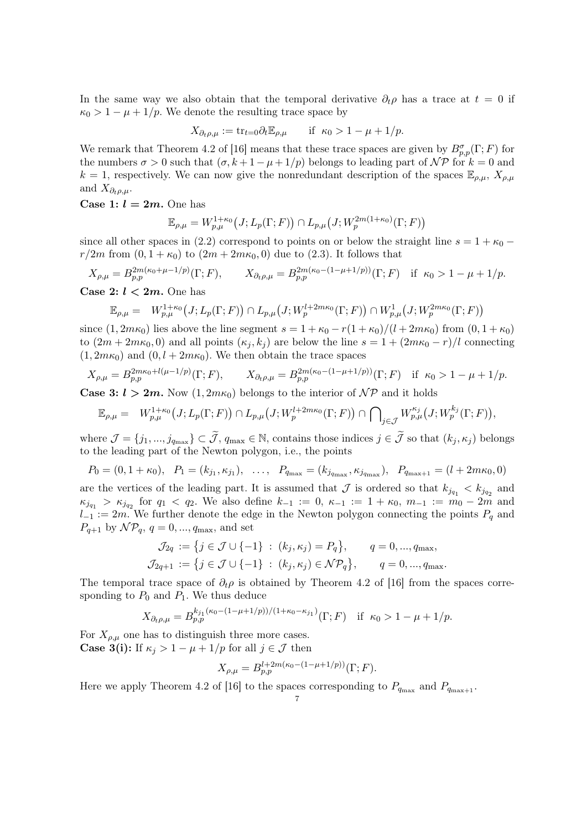In the same way we also obtain that the temporal derivative  $\partial_t \rho$  has a trace at  $t = 0$  if  $\kappa_0 > 1 - \mu + 1/p$ . We denote the resulting trace space by

$$
X_{\partial_t \rho,\mu} := \text{tr}_{t=0} \partial_t \mathbb{E}_{\rho,\mu} \qquad \text{if} \ \kappa_0 > 1 - \mu + 1/p.
$$

We remark that Theorem 4.2 of [16] means that these trace spaces are given by  $B_{p,p}^{\sigma}(\Gamma;F)$  for the numbers  $\sigma > 0$  such that  $(\sigma, k + 1 - \mu + 1/p)$  belongs to leading part of  $\mathcal{NP}$  for  $k = 0$  and  $k = 1$ , respectively. We can now give the nonredundant description of the spaces  $\mathbb{E}_{\rho,\mu}$ ,  $X_{\rho,\mu}$ and  $X_{\partial_t \rho,\mu}$ .

Case 1:  $l = 2m$ . One has

$$
\mathbb{E}_{\rho,\mu} = W_{p,\mu}^{1+\kappa_0} \big( J; L_p(\Gamma;F) \big) \cap L_{p,\mu} \big( J; W_p^{2m(1+\kappa_0)}(\Gamma;F) \big)
$$

since all other spaces in (2.2) correspond to points on or below the straight line  $s = 1 + \kappa_0$  –  $r/2m$  from  $(0, 1 + \kappa_0)$  to  $(2m + 2m\kappa_0, 0)$  due to  $(2.3)$ . It follows that

$$
X_{\rho,\mu} = B_{p,p}^{2m(\kappa_0 + \mu - 1/p)}(\Gamma; F), \qquad X_{\partial_t \rho,\mu} = B_{p,p}^{2m(\kappa_0 - (1 - \mu + 1/p))}(\Gamma; F) \quad \text{if } \kappa_0 > 1 - \mu + 1/p.
$$

Case 2:  $l < 2m$ . One has

$$
\mathbb{E}_{\rho,\mu} = W_{p,\mu}^{1+\kappa_0}(J;L_p(\Gamma;F)) \cap L_{p,\mu}(J;W_p^{l+2m\kappa_0}(\Gamma;F)) \cap W_{p,\mu}^1(J;W_p^{2m\kappa_0}(\Gamma;F))
$$

since  $(1, 2m\kappa_0)$  lies above the line segment  $s = 1 + \kappa_0 - r(1 + \kappa_0)/(l + 2m\kappa_0)$  from  $(0, 1 + \kappa_0)$ to  $(2m + 2m\kappa_0, 0)$  and all points  $(\kappa_i, k_i)$  are below the line  $s = 1 + (2m\kappa_0 - r)/l$  connecting  $(1, 2m\kappa_0)$  and  $(0, l + 2m\kappa_0)$ . We then obtain the trace spaces

$$
X_{\rho,\mu} = B_{p,p}^{2m\kappa_0 + l(\mu - 1/p)}(\Gamma;F), \qquad X_{\partial_t \rho,\mu} = B_{p,p}^{2m(\kappa_0 - (1 - \mu + 1/p))}(\Gamma;F) \quad \text{if } \kappa_0 > 1 - \mu + 1/p.
$$

**Case 3:**  $l > 2m$ . Now  $(1, 2m\kappa_0)$  belongs to the interior of  $\mathcal{NP}$  and it holds

$$
\mathbb{E}_{\rho,\mu} = W_{p,\mu}^{1+\kappa_0}(J;L_p(\Gamma;F)) \cap L_{p,\mu}(J;W_p^{l+2m\kappa_0}(\Gamma;F)) \cap \bigcap_{j \in \mathcal{J}} W_{p,\mu}^{\kappa_j}(J;W_p^{k_j}(\Gamma;F)),
$$

where  $\mathcal{J} = \{j_1, ..., j_{q_{\text{max}}}\}\subset \widetilde{\mathcal{J}}, q_{\text{max}} \in \mathbb{N},$  contains those indices  $j \in \widetilde{\mathcal{J}}$  so that  $(k_j, \kappa_j)$  belongs to the leading part of the Newton polygon, i.e., the points

$$
P_0 = (0, 1 + \kappa_0), \quad P_1 = (k_{j_1}, \kappa_{j_1}), \quad \dots, \quad P_{q_{\max}} = (k_{j_{q_{\max}}}, \kappa_{j_{q_{\max}}}), \quad P_{q_{\max+1}} = (l + 2m\kappa_0, 0)
$$

are the vertices of the leading part. It is assumed that  $\mathcal J$  is ordered so that  $k_{j_{q_1}} < k_{j_{q_2}}$  and  $\kappa_{j_{q_1}} > \kappa_{j_{q_2}}$  for  $q_1 < q_2$ . We also define  $k_{-1} := 0, \, \kappa_{-1} := 1 + \kappa_0, \, m_{-1} := m_0 - 2m$  and  $l_{-1} := 2m$ . We further denote the edge in the Newton polygon connecting the points  $P_q$  and  $P_{q+1}$  by  $\mathcal{NP}_q$ ,  $q = 0, ..., q_{\text{max}}$ , and set

$$
\mathcal{J}_{2q} := \{ j \in \mathcal{J} \cup \{-1\} : (k_j, \kappa_j) = P_q \}, \qquad q = 0, ..., q_{\text{max}},
$$
  

$$
\mathcal{J}_{2q+1} := \{ j \in \mathcal{J} \cup \{-1\} : (k_j, \kappa_j) \in \mathcal{NP}_q \}, \qquad q = 0, ..., q_{\text{max}}.
$$

The temporal trace space of  $\partial_t \rho$  is obtained by Theorem 4.2 of [16] from the spaces corresponding to  $P_0$  and  $P_1$ . We thus deduce

$$
X_{\partial_t \rho,\mu} = B_{p,p}^{k_{j_1}(\kappa_0 - (1 - \mu + 1/p))/(1 + \kappa_0 - \kappa_{j_1})}(\Gamma;F) \quad \text{if } \kappa_0 > 1 - \mu + 1/p.
$$

For  $X_{\rho,\mu}$  one has to distinguish three more cases. **Case 3(i):** If  $\kappa_j > 1 - \mu + 1/p$  for all  $j \in \mathcal{J}$  then

$$
X_{\rho,\mu} = B_{p,p}^{l+2m(\kappa_0 - (1 - \mu + 1/p))}(\Gamma;F).
$$

Here we apply Theorem 4.2 of [16] to the spaces corresponding to  $P_{q_{\text{max}}}$  and  $P_{q_{\text{max}+1}}$ .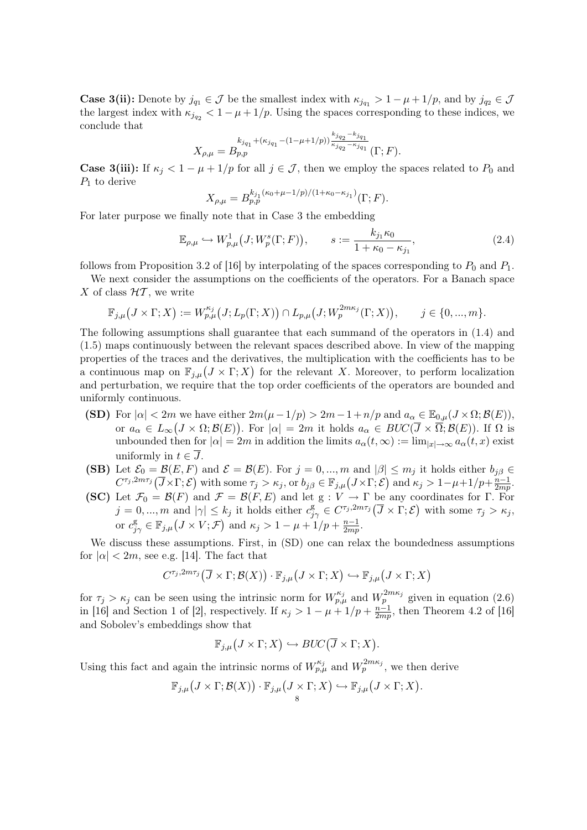**Case 3(ii):** Denote by  $j_{q_1} \in \mathcal{J}$  be the smallest index with  $\kappa_{j_{q_1}} > 1 - \mu + 1/p$ , and by  $j_{q_2} \in \mathcal{J}$ the largest index with  $\kappa_{j_{q_2}} < 1 - \mu + 1/p$ . Using the spaces corresponding to these indices, we conclude that

$$
X_{\rho,\mu} = B_{p,p}^{k_{j_{q_1}} + (\kappa_{j_{q_1}} - (1 - \mu + 1/p))\frac{k_{j_{q_2}} - k_{j_{q_1}}}{\kappa_{j_{q_2}} - \kappa_{j_{q_1}}}}(\Gamma;F).
$$

**Case 3(iii):** If  $\kappa_i < 1 - \mu + 1/p$  for all  $j \in \mathcal{J}$ , then we employ the spaces related to  $P_0$  and  $P_1$  to derive

$$
X_{\rho,\mu} = B_{p,p}^{k_{j_1}(\kappa_0 + \mu - 1/p)/(1 + \kappa_0 - \kappa_{j_1})}(\Gamma;F).
$$

For later purpose we finally note that in Case 3 the embedding

$$
\mathbb{E}_{\rho,\mu} \hookrightarrow W_{p,\mu}^1\big(J;W_p^s(\Gamma;F)\big), \qquad s := \frac{k_{j_1}\kappa_0}{1+\kappa_0-\kappa_{j_1}},\tag{2.4}
$$

follows from Proposition 3.2 of [16] by interpolating of the spaces corresponding to  $P_0$  and  $P_1$ .

We next consider the assumptions on the coefficients of the operators. For a Banach space X of class  $HT$ , we write

$$
\mathbb{F}_{j,\mu}(J \times \Gamma; X) := W_{p,\mu}^{\kappa_j}(J; L_p(\Gamma; X)) \cap L_{p,\mu}(J; W_p^{2m\kappa_j}(\Gamma; X)), \qquad j \in \{0, ..., m\}.
$$

The following assumptions shall guarantee that each summand of the operators in (1.4) and (1.5) maps continuously between the relevant spaces described above. In view of the mapping properties of the traces and the derivatives, the multiplication with the coefficients has to be a continuous map on  $\mathbb{F}_{j,\mu}(J \times \Gamma; X)$  for the relevant X. Moreover, to perform localization and perturbation, we require that the top order coefficients of the operators are bounded and uniformly continuous.

- (SD) For  $|\alpha| < 2m$  we have either  $2m(\mu-1/p) > 2m-1+n/p$  and  $a_\alpha \in \mathbb{E}_{0,\mu}(J \times \Omega; \mathcal{B}(E)),$ or  $a_{\alpha} \in L_{\infty}(J \times \Omega; \mathcal{B}(E))$ . For  $|\alpha| = 2m$  it holds  $a_{\alpha} \in BUC(\overline{J} \times \overline{\Omega}; \mathcal{B}(E))$ . If  $\Omega$  is unbounded then for  $|\alpha| = 2m$  in addition the limits  $a_{\alpha}(t, \infty) := \lim_{|x| \to \infty} a_{\alpha}(t, x)$  exist uniformly in  $t \in \overline{J}$ .
- (SB) Let  $\mathcal{E}_0 = \mathcal{B}(E, F)$  and  $\mathcal{E} = \mathcal{B}(E)$ . For  $j = 0, ..., m$  and  $|\beta| \le m_j$  it holds either  $b_{j\beta} \in$  $C^{\tau_j,2m\tau_j}(\overline{J}\times\Gamma;\mathcal{E})$  with some  $\tau_j>\kappa_j$ , or  $b_{j\beta}\in\mathbb{F}_{j,\mu}(J\times\Gamma;\mathcal{E})$  and  $\kappa_j>1-\mu+1/p+\frac{n-1}{2mn}$  $rac{n-1}{2mp}.$
- (SC) Let  $\mathcal{F}_0 = \mathcal{B}(F)$  and  $\mathcal{F} = \mathcal{B}(F, E)$  and let g :  $V \to \Gamma$  be any coordinates for  $\Gamma$ . For  $j = 0, ..., m$  and  $|\gamma| \leq k_j$  it holds either  $c_{j\gamma}^{\mathcal{B}} \in C^{\tau_j, 2m\tau_j}(\overline{J} \times \Gamma; \mathcal{E})$  with some  $\tau_j > \kappa_j$ , or  $c_{j\gamma}^g \in \mathbb{F}_{j,\mu}(J \times V; \mathcal{F})$  and  $\kappa_j > 1 - \mu + 1/p + \frac{n-1}{2mp}$  $\frac{n-1}{2mp}.$

We discuss these assumptions. First, in (SD) one can relax the boundedness assumptions for  $|\alpha| < 2m$ , see e.g. [14]. The fact that

$$
C^{\tau_j,2m\tau_j}(\overline{J}\times\Gamma;\mathcal{B}(X))\cdot\mathbb{F}_{j,\mu}(J\times\Gamma;X)\hookrightarrow\mathbb{F}_{j,\mu}(J\times\Gamma;X)
$$

for  $\tau_j > \kappa_j$  can be seen using the intrinsic norm for  $W_{p,\mu}^{\kappa_j}$  and  $W_p^{2m\kappa_j}$  given in equation (2.6) in [16] and Section 1 of [2], respectively. If  $\kappa_j > 1 - \mu + 1/p + \frac{n-1}{2mn}$  $\frac{n-1}{2mp}$ , then Theorem 4.2 of [16] and Sobolev's embeddings show that

$$
\mathbb{F}_{j,\mu}\big(J\times\Gamma;X\big)\hookrightarrow BUC\big(\overline{J}\times\Gamma;X\big).
$$

Using this fact and again the intrinsic norms of  $W_{p,\mu}^{\kappa_j}$  and  $W_p^{2m\kappa_j}$ , we then derive

$$
\mathbb{F}_{j,\mu}\big(J\times\Gamma;\mathcal{B}(X)\big)\cdot\mathbb{F}_{j,\mu}\big(J\times\Gamma;X\big)\hookrightarrow\mathbb{F}_{j,\mu}\big(J\times\Gamma;X\big).
$$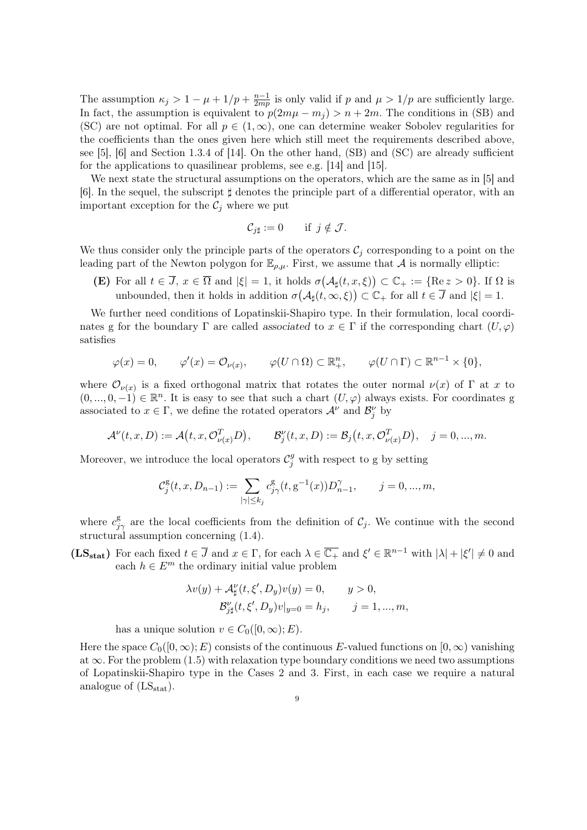The assumption  $\kappa_j > 1 - \mu + 1/p + \frac{n-1}{2mn}$  $\frac{n-1}{2mp}$  is only valid if p and  $\mu > 1/p$  are sufficiently large. In fact, the assumption is equivalent to  $p(2m\mu - m_i) > n + 2m$ . The conditions in (SB) and (SC) are not optimal. For all  $p \in (1,\infty)$ , one can determine weaker Sobolev regularities for the coefficients than the ones given here which still meet the requirements described above, see [5], [6] and Section 1.3.4 of [14]. On the other hand, (SB) and (SC) are already sufficient for the applications to quasilinear problems, see e.g. [14] and [15].

We next state the structural assumptions on the operators, which are the same as in [5] and [6]. In the sequel, the subscript  $\sharp$  denotes the principle part of a differential operator, with an important exception for the  $\mathcal{C}_j$  where we put

$$
\mathcal{C}_{j\sharp} := 0 \quad \text{if } j \notin \mathcal{J}.
$$

We thus consider only the principle parts of the operators  $\mathcal{C}_j$  corresponding to a point on the leading part of the Newton polygon for  $\mathbb{E}_{\rho,\mu}$ . First, we assume that A is normally elliptic:

**(E)** For all  $t \in \overline{J}$ ,  $x \in \overline{\Omega}$  and  $|\xi| = 1$ , it holds  $\sigma(\mathcal{A}_{\sharp}(t,x,\xi)) \subset \mathbb{C}_{+} := {\text{Re } z > 0}.$  If  $\Omega$  is unbounded, then it holds in addition  $\sigma(\mathcal{A}_{\sharp}(t,\infty,\xi)) \subset \mathbb{C}_{+}$  for all  $t \in \overline{J}$  and  $|\xi| = 1$ .

We further need conditions of Lopatinskii-Shapiro type. In their formulation, local coordinates g for the boundary  $\Gamma$  are called associated to  $x \in \Gamma$  if the corresponding chart  $(U, \varphi)$ satisfies

$$
\varphi(x) = 0, \qquad \varphi'(x) = \mathcal{O}_{\nu(x)}, \qquad \varphi(U \cap \Omega) \subset \mathbb{R}^n_+, \qquad \varphi(U \cap \Gamma) \subset \mathbb{R}^{n-1} \times \{0\},
$$

where  $\mathcal{O}_{\nu(x)}$  is a fixed orthogonal matrix that rotates the outer normal  $\nu(x)$  of  $\Gamma$  at x to  $(0, ..., 0, -1) \in \mathbb{R}^n$ . It is easy to see that such a chart  $(U, \varphi)$  always exists. For coordinates g associated to  $x \in \Gamma$ , we define the rotated operators  $\mathcal{A}^{\nu}$  and  $\mathcal{B}_{j}^{\nu}$  by

$$
\mathcal{A}^{\nu}(t,x,D) := \mathcal{A}(t,x,\mathcal{O}_{\nu(x)}^T D), \qquad \mathcal{B}_j^{\nu}(t,x,D) := \mathcal{B}_j(t,x,\mathcal{O}_{\nu(x)}^T D), \quad j = 0,...,m.
$$

Moreover, we introduce the local operators  $\mathcal{C}_j^g$  with respect to g by setting

$$
\mathcal{C}_j^{\mathrm{g}}(t,x,D_{n-1}):=\sum_{|\gamma|\leq k_j}c_{j\gamma}^{\mathrm{g}}(t,\mathrm{g}^{-1}(x))D_{n-1}^{\gamma},\qquad j=0,...,m,
$$

where  $c_{j\gamma}^g$  are the local coefficients from the definition of  $\mathcal{C}_j$ . We continue with the second structural assumption concerning (1.4).

(LS<sub>stat</sub>) For each fixed  $t \in \overline{J}$  and  $x \in \Gamma$ , for each  $\lambda \in \overline{\mathbb{C}_+}$  and  $\xi' \in \mathbb{R}^{n-1}$  with  $|\lambda| + |\xi'| \neq 0$  and each  $h \in E^m$  the ordinary initial value problem

$$
\lambda v(y) + \mathcal{A}_{\sharp}^{\nu}(t, \xi', D_y)v(y) = 0, \qquad y > 0,
$$
  

$$
\mathcal{B}_{j\sharp}^{\nu}(t, \xi', D_y)v|_{y=0} = h_j, \qquad j = 1, ..., m,
$$

has a unique solution  $v \in C_0([0,\infty);E)$ .

Here the space  $C_0([0,\infty);E)$  consists of the continuous E-valued functions on  $[0,\infty)$  vanishing at  $\infty$ . For the problem (1.5) with relaxation type boundary conditions we need two assumptions of Lopatinskii-Shapiro type in the Cases 2 and 3. First, in each case we require a natural analogue of  $(LS_{stat})$ .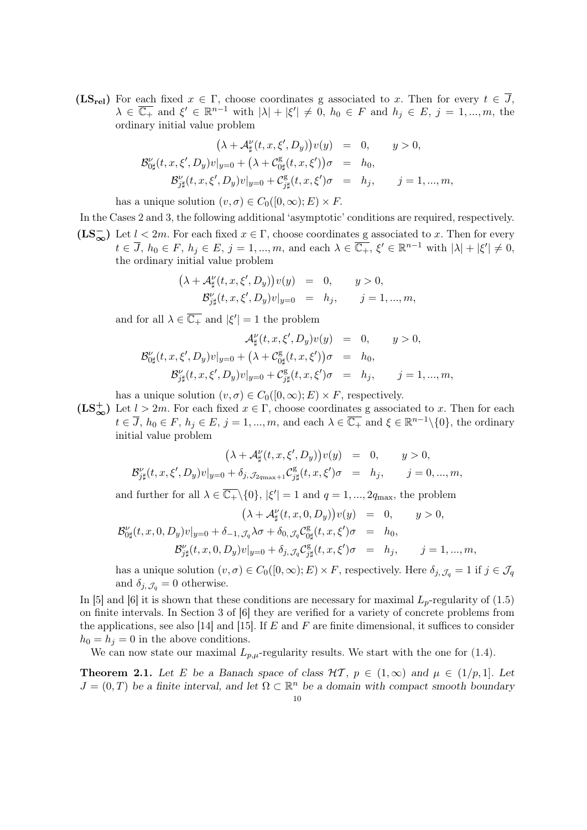$(LS_{rel})$  For each fixed  $x \in \Gamma$ , choose coordinates g associated to x. Then for every  $t \in \overline{J}$ ,  $\lambda \in \overline{\mathbb{C}_+}$  and  $\xi' \in \mathbb{R}^{n-1}$  with  $|\lambda| + |\xi'| \neq 0$ ,  $h_0 \in F$  and  $h_j \in E$ ,  $j = 1, ..., m$ , the ordinary initial value problem

$$
(\lambda + \mathcal{A}_{\sharp}^{\nu}(t, x, \xi', D_y))v(y) = 0, \quad y > 0,
$$
  

$$
\mathcal{B}_{0\sharp}^{\nu}(t, x, \xi', D_y)v|_{y=0} + (\lambda + \mathcal{C}_{0\sharp}^{\mathbf{g}}(t, x, \xi'))\sigma = h_0,
$$
  

$$
\mathcal{B}_{j\sharp}^{\nu}(t, x, \xi', D_y)v|_{y=0} + \mathcal{C}_{j\sharp}^{\mathbf{g}}(t, x, \xi')\sigma = h_j, \quad j = 1, ..., m,
$$

has a unique solution  $(v, \sigma) \in C_0([0, \infty); E) \times F$ .

In the Cases 2 and 3, the following additional 'asymptotic' conditions are required, respectively.  $(LS_{\infty}^-)$  Let  $l < 2m$ . For each fixed  $x \in \Gamma$ , choose coordinates g associated to x. Then for every  $t \in \overline{J}$ ,  $h_0 \in F$ ,  $h_j \in E$ ,  $j = 1, ..., m$ , and each  $\lambda \in \overline{\mathbb{C}_+}$ ,  $\xi' \in \mathbb{R}^{n-1}$  with  $|\lambda| + |\xi'| \neq 0$ , the ordinary initial value problem

$$
\begin{array}{rcl}\n\left(\lambda+\mathcal{A}_\sharp^\nu(t,x,\xi',D_y)\right)v(y) & = & 0, \qquad y > 0, \\
\mathcal{B}_{j\sharp}^\nu(t,x,\xi',D_y)v|_{y=0} & = & h_j, \qquad j=1,...,m,\n\end{array}
$$

and for all  $\lambda \in \overline{\mathbb{C}_+}$  and  $|\xi'| = 1$  the problem

$$
\mathcal{A}^{\nu}_{\sharp}(t, x, \xi', D_y)v(y) = 0, \qquad y > 0,
$$
  

$$
\mathcal{B}^{\nu}_{0\sharp}(t, x, \xi', D_y)v|_{y=0} + \left(\lambda + \mathcal{C}^{\mathbf{g}}_{0\sharp}(t, x, \xi')\right)\sigma = h_0,
$$
  

$$
\mathcal{B}^{\nu}_{j\sharp}(t, x, \xi', D_y)v|_{y=0} + \mathcal{C}^{\mathbf{g}}_{j\sharp}(t, x, \xi')\sigma = h_j, \qquad j = 1, ..., m,
$$

has a unique solution  $(v, \sigma) \in C_0([0, \infty); E) \times F$ , respectively.

 $(LS_{\infty}^{+})$  Let  $l > 2m$ . For each fixed  $x \in \Gamma$ , choose coordinates g associated to x. Then for each  $t \in \overline{J}$ ,  $h_0 \in F$ ,  $h_j \in E$ ,  $j = 1, ..., m$ , and each  $\lambda \in \overline{\mathbb{C}_+}$  and  $\xi \in \mathbb{R}^{n-1} \setminus \{0\}$ , the ordinary initial value problem

$$
\begin{array}{rcl} \big(\lambda+\mathcal{A}_\sharp^\nu(t,x,\xi',D_y)\big)v(y) &=& 0,\qquad y>0,\\ \mathcal{B}_{j\sharp}^\nu(t,x,\xi',D_y)v|_{y=0}+\delta_{j,\,\mathcal{J}_{2q_{\max}+1}}\mathcal{C}_{j\sharp}^{\rm g}(t,x,\xi')\sigma &=& h_j,\qquad j=0,...,m, \end{array}
$$

and further for all  $\lambda \in \overline{\mathbb{C}_+}\setminus\{0\}$ ,  $|\xi'| = 1$  and  $q = 1, ..., 2q_{\text{max}}$ , the problem

$$
(\lambda + \mathcal{A}_{\sharp}^{\nu}(t, x, 0, D_y))v(y) = 0, \qquad y > 0,
$$
  

$$
\mathcal{B}_{0\sharp}^{\nu}(t, x, 0, D_y)v|_{y=0} + \delta_{-1, \mathcal{J}_q} \lambda \sigma + \delta_{0, \mathcal{J}_q} \mathcal{C}_{0\sharp}^{\sigma}(t, x, \xi')\sigma = h_0,
$$
  

$$
\mathcal{B}_{j\sharp}^{\nu}(t, x, 0, D_y)v|_{y=0} + \delta_{j, \mathcal{J}_q} \mathcal{C}_{j\sharp}^{\sigma}(t, x, \xi')\sigma = h_j, \qquad j = 1, ..., m,
$$

has a unique solution  $(v, \sigma) \in C_0([0, \infty); E) \times F$ , respectively. Here  $\delta_{j, \mathcal{J}_q} = 1$  if  $j \in \mathcal{J}_q$ and  $\delta_{j, \mathcal{J}_q} = 0$  otherwise.

In [5] and [6] it is shown that these conditions are necessary for maximal  $L<sub>p</sub>$ -regularity of (1.5) on finite intervals. In Section 3 of [6] they are verified for a variety of concrete problems from the applications, see also [14] and [15]. If  $E$  and  $F$  are finite dimensional, it suffices to consider  $h_0 = h_j = 0$  in the above conditions.

We can now state our maximal  $L_{p,\mu}$ -regularity results. We start with the one for (1.4).

**Theorem 2.1.** Let E be a Banach space of class  $H\mathcal{T}$ ,  $p \in (1,\infty)$  and  $\mu \in (1/p,1]$ . Let  $J = (0, T)$  be a finite interval, and let  $\Omega \subset \mathbb{R}^n$  be a domain with compact smooth boundary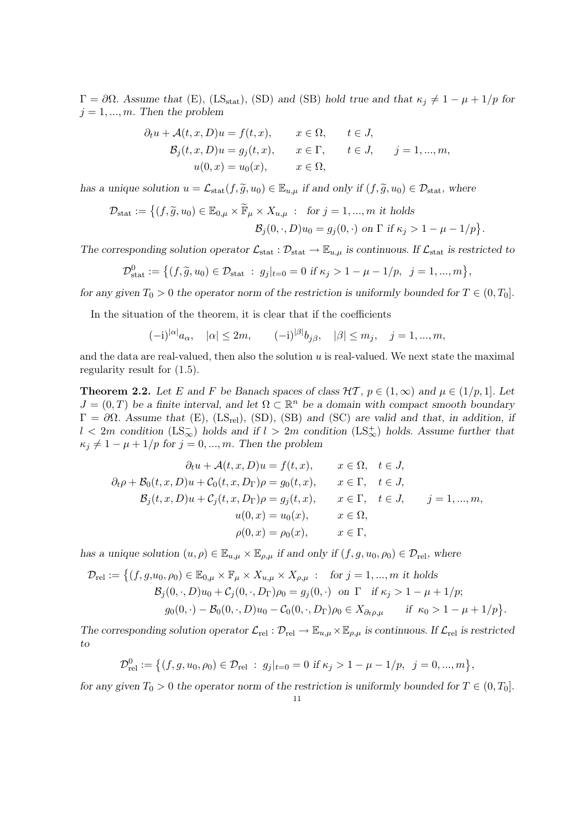$Γ = ∂Ω$ . Assume that (E), (LS<sub>stat</sub>), (SD) and (SB) hold true and that  $κ_j ≠ 1 - μ + 1/p$  for  $j = 1, ..., m$ . Then the problem

$$
\partial_t u + \mathcal{A}(t, x, D)u = f(t, x), \qquad x \in \Omega, \qquad t \in J,
$$
  

$$
\mathcal{B}_j(t, x, D)u = g_j(t, x), \qquad x \in \Gamma, \qquad t \in J, \qquad j = 1, ..., m,
$$
  

$$
u(0, x) = u_0(x), \qquad x \in \Omega,
$$

has a unique solution  $u = \mathcal{L}_{stat}(f, \tilde{g}, u_0) \in \mathbb{E}_{u,\mu}$  if and only if  $(f, \tilde{g}, u_0) \in \mathcal{D}_{stat}$ , where

$$
\mathcal{D}_{\text{stat}} := \left\{ (f, \widetilde{g}, u_0) \in \mathbb{E}_{0,\mu} \times \widetilde{\mathbb{F}}_{\mu} \times X_{u,\mu} : \text{ for } j = 1, ..., m \text{ it holds} \right\}
$$

$$
\mathcal{B}_j(0, \cdot, D)u_0 = g_j(0, \cdot) \text{ on } \Gamma \text{ if } \kappa_j > 1 - \mu - 1/p \right\}.
$$

The corresponding solution operator  $\mathcal{L}_{stat} : \mathcal{D}_{stat} \to \mathbb{E}_{u,\mu}$  is continuous. If  $\mathcal{L}_{stat}$  is restricted to

$$
\mathcal{D}_{\text{stat}}^0 := \left\{ (f, \tilde{g}, u_0) \in \mathcal{D}_{\text{stat}} \; : \; g_j|_{t=0} = 0 \text{ if } \kappa_j > 1 - \mu - 1/p, \; j = 1, ..., m \right\},\
$$

for any given  $T_0 > 0$  the operator norm of the restriction is uniformly bounded for  $T \in (0, T_0]$ .

In the situation of the theorem, it is clear that if the coefficients

$$
(-i)^{|\alpha|}a_{\alpha}, \quad |\alpha| \le 2m, \quad (-i)^{|\beta|}b_{j\beta}, \quad |\beta| \le m_j, \quad j = 1, ..., m,
$$

and the data are real-valued, then also the solution  $u$  is real-valued. We next state the maximal regularity result for (1.5).

**Theorem 2.2.** Let E and F be Banach spaces of class  $H\mathcal{T}, p \in (1,\infty)$  and  $\mu \in (1/p,1]$ . Let  $J = (0, T)$  be a finite interval, and let  $\Omega \subset \mathbb{R}^n$  be a domain with compact smooth boundary  $\Gamma = \partial \Omega$ . Assume that (E), (LS<sub>rel</sub>), (SD), (SB) and (SC) are valid and that, in addition, if  $l < 2m$  condition  $(LS_{\infty}^-)$  holds and if  $l > 2m$  condition  $(LS_{\infty}^+)$  holds. Assume further that  $\kappa_j \neq 1 - \mu + 1/p$  for  $j = 0, ..., m$ . Then the problem

$$
\partial_t u + \mathcal{A}(t, x, D)u = f(t, x), \qquad x \in \Omega, \quad t \in J,
$$
  
\n
$$
\partial_t \rho + \mathcal{B}_0(t, x, D)u + \mathcal{C}_0(t, x, D_\Gamma)\rho = g_0(t, x), \qquad x \in \Gamma, \quad t \in J,
$$
  
\n
$$
\mathcal{B}_j(t, x, D)u + \mathcal{C}_j(t, x, D_\Gamma)\rho = g_j(t, x), \qquad x \in \Gamma, \quad t \in J, \qquad j = 1, ..., m,
$$
  
\n
$$
u(0, x) = u_0(x), \qquad x \in \Omega,
$$
  
\n
$$
\rho(0, x) = \rho_0(x), \qquad x \in \Gamma,
$$

has a unique solution  $(u, \rho) \in \mathbb{E}_{u,\mu} \times \mathbb{E}_{\rho,\mu}$  if and only if  $(f, g, u_0, \rho_0) \in \mathcal{D}_{rel}$ , where

$$
\mathcal{D}_{rel} := \left\{ (f, g, u_0, \rho_0) \in \mathbb{E}_{0,\mu} \times \mathbb{F}_{\mu} \times X_{u,\mu} \times X_{\rho,\mu} : \text{ for } j = 1, ..., m \text{ it holds} \right\}
$$
  

$$
\mathcal{B}_j(0, \cdot, D)u_0 + \mathcal{C}_j(0, \cdot, D_\Gamma)\rho_0 = g_j(0, \cdot) \text{ on } \Gamma \text{ if } \kappa_j > 1 - \mu + 1/p; \right\}
$$
  

$$
g_0(0, \cdot) - \mathcal{B}_0(0, \cdot, D)u_0 - \mathcal{C}_0(0, \cdot, D_\Gamma)\rho_0 \in X_{\partial_t \rho, \mu} \text{ if } \kappa_0 > 1 - \mu + 1/p \right\}.
$$

The corresponding solution operator  $\mathcal{L}_{rel} : \mathcal{D}_{rel} \to \mathbb{E}_{u,\mu} \times \mathbb{E}_{\rho,\mu}$  is continuous. If  $\mathcal{L}_{rel}$  is restricted to

$$
\mathcal{D}_{rel}^0 := \left\{ (f, g, u_0, \rho_0) \in \mathcal{D}_{rel} : g_j|_{t=0} = 0 \text{ if } \kappa_j > 1 - \mu - 1/p, \ j = 0, ..., m \right\},\
$$

for any given  $T_0 > 0$  the operator norm of the restriction is uniformly bounded for  $T \in (0, T_0]$ .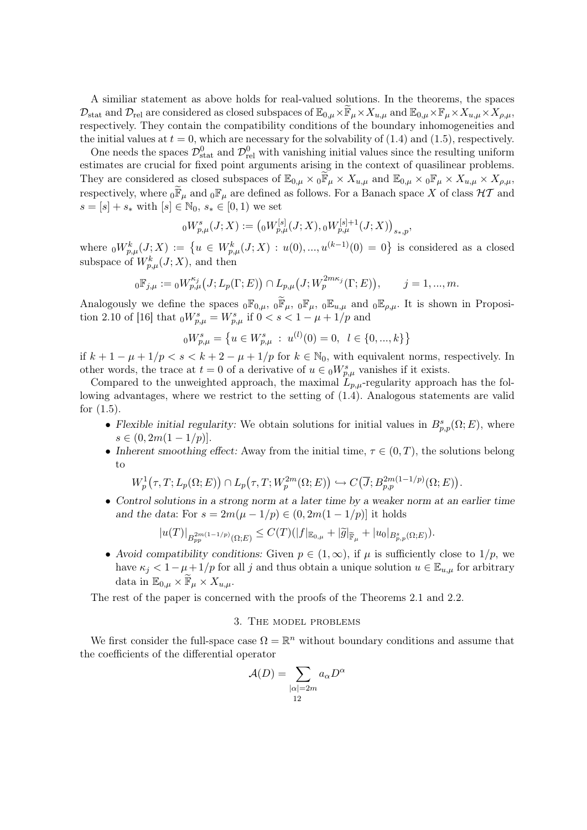A similiar statement as above holds for real-valued solutions. In the theorems, the spaces  $\mathcal{D}_{\text{stat}}$  and  $\mathcal{D}_{\text{rel}}$  are considered as closed subspaces of  $\mathbb{E}_{0,\mu} \times \mathbb{F}_{\mu} \times X_{u,\mu}$  and  $\mathbb{E}_{0,\mu} \times \mathbb{F}_{\mu} \times X_{u,\mu} \times X_{\rho,\mu}$ , respectively. They contain the compatibility conditions of the boundary inhomogeneities and the initial values at  $t = 0$ , which are necessary for the solvability of (1.4) and (1.5), respectively.

One needs the spaces  $\mathcal{D}^0_{\text{stat}}$  and  $\mathcal{D}^0_{\text{rel}}$  with vanishing initial values since the resulting uniform estimates are crucial for fixed point arguments arising in the context of quasilinear problems. They are considered as closed subspaces of  $\mathbb{E}_{0,\mu} \times 0^{\mathbb{F}}_{\mu} \times X_{u,\mu}$  and  $\mathbb{E}_{0,\mu} \times 0^{\mathbb{F}}_{\mu} \times X_{u,\mu} \times X_{\rho,\mu}$ , respectively, where  $_0\widetilde{F}_\mu$  and  $_0F_\mu$  are defined as follows. For a Banach space X of class  $H\mathcal{T}$  and  $s = [s] + s_*$  with  $[s] \in \mathbb{N}_0, s_* \in [0, 1)$  we set

$$
{}_0W_{p,\mu}^s(J;X) := ({}_0W_{p,\mu}^{[s]}(J;X), {}_0W_{p,\mu}^{[s]+1}(J;X))_{s_*,p},
$$

where  ${}_0W_{p,\mu}^k(J;X) := \{u \in W_{p,\mu}^k(J;X) : u(0),...,u^{(k-1)}(0) = 0\}$  is considered as a closed subspace of  $W^k_{p,\mu}(J;X)$ , and then

$$
{}_0\mathbb{F}_{j,\mu} := {}_0W_{p,\mu}^{\kappa_j}(J;L_p(\Gamma;E)) \cap L_{p,\mu}(J;W_p^{2m\kappa_j}(\Gamma;E)), \qquad j = 1,...,m.
$$

Analogously we define the spaces  ${}_0\mathbb{F}_{0,\mu}$ ,  ${}_0\widetilde{\mathbb{F}}_{\mu}$ ,  ${}_0\mathbb{F}_{\mu}$ ,  ${}_0\mathbb{E}_{u,\mu}$  and  ${}_0\mathbb{E}_{\rho,\mu}$ . It is shown in Proposition 2.10 of [16] that  $_{0}W_{p,\mu}^{s} = W_{p,\mu}^{s}$  if  $0 < s < 1 - \mu + 1/p$  and

$$
{}_{0}W_{p,\mu}^{s} = \left\{ u \in W_{p,\mu}^{s} : u^{(l)}(0) = 0, \ l \in \{0, ..., k\} \right\}
$$

if  $k + 1 - \mu + 1/p < s < k + 2 - \mu + 1/p$  for  $k \in \mathbb{N}_0$ , with equivalent norms, respectively. In other words, the trace at  $t = 0$  of a derivative of  $u \in {}_0W^s_{p,\mu}$  vanishes if it exists.

Compared to the unweighted approach, the maximal  $L_{p,\mu}$ -regularity approach has the following advantages, where we restrict to the setting of (1.4). Analogous statements are valid for (1.5).

- Flexible initial regularity: We obtain solutions for initial values in  $B_{p,p}^s(\Omega; E)$ , where  $s \in (0, 2m(1 - 1/p)).$
- Inherent smoothing effect: Away from the initial time,  $\tau \in (0, T)$ , the solutions belong to

$$
W_p^1(\tau, T; L_p(\Omega; E)) \cap L_p(\tau, T; W_p^{2m}(\Omega; E)) \hookrightarrow C(\overline{J}; B_{p,p}^{2m(1-1/p)}(\Omega; E)).
$$

• Control solutions in a strong norm at a later time by a weaker norm at an earlier time and the data: For  $s = 2m(\mu - 1/p) \in (0, 2m(1 - 1/p))$  it holds

$$
|u(T)|_{B_{pp}^{2m(1-1/p)}(\Omega;E)} \leq C(T)(|f|_{\mathbb{E}_{0,\mu}} + |\widetilde{g}|_{\widetilde{\mathbb{F}}_{\mu}} + |u_0|_{B_{p,p}^s(\Omega;E)}).
$$

• Avoid compatibility conditions: Given  $p \in (1,\infty)$ , if  $\mu$  is sufficiently close to  $1/p$ , we have  $\kappa_i < 1 - \mu + 1/p$  for all j and thus obtain a unique solution  $u \in \mathbb{E}_{u,\mu}$  for arbitrary data in  $\mathbb{E}_{0,\mu} \times \mathbb{F}_{\mu} \times X_{u,\mu}$ .

The rest of the paper is concerned with the proofs of the Theorems 2.1 and 2.2.

## 3. The model problems

We first consider the full-space case  $\Omega = \mathbb{R}^n$  without boundary conditions and assume that the coefficients of the differential operator

$$
\mathcal{A}(D) = \sum_{\substack{|\alpha| = 2m \\ 12}} a_{\alpha} D^{\alpha}
$$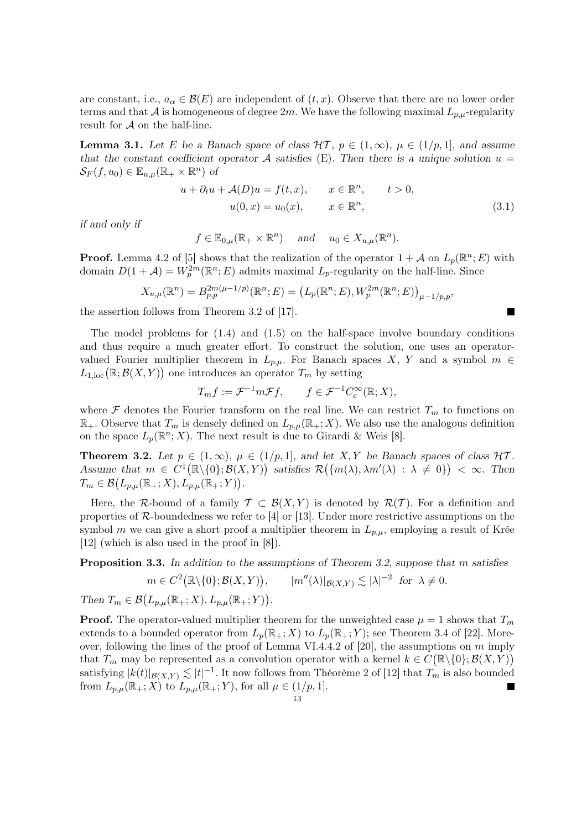are constant, i.e.,  $a_{\alpha} \in \mathcal{B}(E)$  are independent of  $(t, x)$ . Observe that there are no lower order terms and that A is homogeneous of degree 2m. We have the following maximal  $L_{p,\mu}$ -regularity result for  $A$  on the half-line.

**Lemma 3.1.** Let E be a Banach space of class  $H\mathcal{T}$ ,  $p \in (1,\infty)$ ,  $\mu \in (1/p,1]$ , and assume that the constant coefficient operator A satisfies (E). Then there is a unique solution  $u =$  $\mathcal{S}_F(f, u_0) \in \mathbb{E}_{u,\mu}(\mathbb{R}_+ \times \mathbb{R}^n)$  of

$$
u + \partial_t u + \mathcal{A}(D)u = f(t, x), \qquad x \in \mathbb{R}^n, \qquad t > 0,
$$
  

$$
u(0, x) = u_0(x), \qquad x \in \mathbb{R}^n,
$$
 (3.1)

Г

if and only if

$$
f \in \mathbb{E}_{0,\mu}(\mathbb{R}_+ \times \mathbb{R}^n)
$$
 and  $u_0 \in X_{u,\mu}(\mathbb{R}^n)$ .

**Proof.** Lemma 4.2 of [5] shows that the realization of the operator  $1 + A$  on  $L_p(\mathbb{R}^n; E)$  with domain  $D(1+\mathcal{A})=W_p^{2m}(\mathbb{R}^n;E)$  admits maximal  $L_p$ -regularity on the half-line. Since

$$
X_{u,\mu}(\mathbb{R}^n) = B_{p,p}^{2m(\mu-1/p)}(\mathbb{R}^n;E) = (L_p(\mathbb{R}^n;E), W_p^{2m}(\mathbb{R}^n;E))_{\mu-1/p,p},
$$

the assertion follows from Theorem 3.2 of [17].

The model problems for  $(1.4)$  and  $(1.5)$  on the half-space involve boundary conditions and thus require a much greater effort. To construct the solution, one uses an operatorvalued Fourier multiplier theorem in  $L_{p,\mu}$ . For Banach spaces X, Y and a symbol  $m \in$  $L_{1,\text{loc}}(\mathbb{R};\mathcal{B}(X,Y))$  one introduces an operator  $T_m$  by setting

$$
T_m f := \mathcal{F}^{-1} m \mathcal{F} f, \qquad f \in \mathcal{F}^{-1} C_c^{\infty}(\mathbb{R}; X),
$$

where  $\mathcal F$  denotes the Fourier transform on the real line. We can restrict  $T_m$  to functions on  $\mathbb{R}_+$ . Observe that  $T_m$  is densely defined on  $L_{p,\mu}(\mathbb{R}_+;X)$ . We also use the analogous definition on the space  $L_p(\mathbb{R}^n; X)$ . The next result is due to Girardi & Weis [8].

**Theorem 3.2.** Let  $p \in (1,\infty)$ ,  $\mu \in (1/p,1]$ , and let X, Y be Banach spaces of class  $\mathcal{HT}$ . Assume that  $m \in C^{1}(\mathbb{R} \setminus \{0\}; \mathcal{B}(X, Y))$  satisfies  $\mathcal{R}(\{m(\lambda), \lambda m'(\lambda) : \lambda \neq 0\}) < \infty$ . Then  $T_m \in \mathcal{B}(L_{p,\mu}(\mathbb{R}_+;X), L_{p,\mu}(\mathbb{R}_+;Y)).$ 

Here, the R-bound of a family  $\mathcal{T} \subset \mathcal{B}(X, Y)$  is denoted by  $\mathcal{R}(\mathcal{T})$ . For a definition and properties of  $\mathcal{R}$ -boundedness we refer to [4] or [13]. Under more restrictive assumptions on the symbol m we can give a short proof a multiplier theorem in  $L_{p,\mu}$ , employing a result of Krée [12] (which is also used in the proof in [8]).

Proposition 3.3. In addition to the assumptions of Theorem 3.2, suppose that m satisfies

$$
m \in C^2(\mathbb{R}\setminus\{0\}; \mathcal{B}(X, Y)), \qquad |m''(\lambda)|_{\mathcal{B}(X, Y)} \lesssim |\lambda|^{-2} \text{ for } \lambda \neq 0.
$$

Then  $T_m \in \mathcal{B}(L_{p,\mu}(\mathbb{R}_+;X), L_{p,\mu}(\mathbb{R}_+;Y)).$ 

**Proof.** The operator-valued multiplier theorem for the unweighted case  $\mu = 1$  shows that  $T_m$ extends to a bounded operator from  $L_p(\mathbb{R}_+; X)$  to  $L_p(\mathbb{R}_+; Y)$ ; see Theorem 3.4 of [22]. Moreover, following the lines of the proof of Lemma VI.4.4.2 of [20], the assumptions on  $m$  imply that  $T_m$  may be represented as a convolution operator with a kernel  $k \in C(\mathbb{R} \setminus \{0\}; \mathcal{B}(X, Y))$ satisfying  $|k(t)|_{\mathcal{B}(X,Y)} \lesssim |t|^{-1}$ . It now follows from Théorème 2 of [12] that  $T_m$  is also bounded from  $L_{p,\mu}(\mathbb{R}_+;X)$  to  $L_{p,\mu}(\mathbb{R}_+;Y)$ , for all  $\mu \in (1/p,1]$ .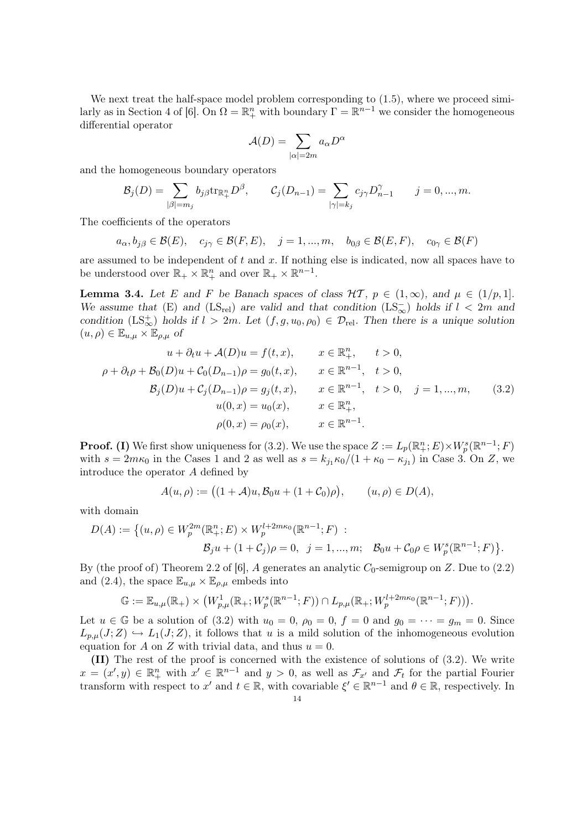We next treat the half-space model problem corresponding to  $(1.5)$ , where we proceed similarly as in Section 4 of [6]. On  $\Omega = \mathbb{R}^n_+$  with boundary  $\Gamma = \mathbb{R}^{n-1}$  we consider the homogeneous differential operator

$$
\mathcal{A}(D) = \sum_{|\alpha|=2m} a_{\alpha} D^{\alpha}
$$

and the homogeneous boundary operators

$$
\mathcal{B}_j(D) = \sum_{|\beta|=m_j} b_{j\beta} \text{tr}_{\mathbb{R}_+^n} D^{\beta}, \qquad \mathcal{C}_j(D_{n-1}) = \sum_{|\gamma|=k_j} c_{j\gamma} D^{\gamma}_{n-1} \qquad j=0,...,m.
$$

The coefficients of the operators

 $a_{\alpha}, b_{j\beta} \in \mathcal{B}(E), \quad c_{j\gamma} \in \mathcal{B}(F, E), \quad j = 1, ..., m, \quad b_{0\beta} \in \mathcal{B}(E, F), \quad c_{0\gamma} \in \mathcal{B}(F)$ 

are assumed to be independent of  $t$  and  $x$ . If nothing else is indicated, now all spaces have to be understood over  $\mathbb{R}_+ \times \mathbb{R}_+^n$  and over  $\mathbb{R}_+ \times \mathbb{R}^{n-1}$ .

**Lemma 3.4.** Let E and F be Banach spaces of class  $H\mathcal{T}$ ,  $p \in (1,\infty)$ , and  $\mu \in (1/p,1]$ . We assume that (E) and (LS<sub>rel</sub>) are valid and that condition (LS<sub>∞</sub>) holds if  $l < 2m$  and condition  $(LS^+_{\infty})$  holds if  $l > 2m$ . Let  $(f, g, u_0, \rho_0) \in \mathcal{D}_{rel}$ . Then there is a unique solution  $(u, \rho) \in \mathbb{E}_{u, \mu} \times \mathbb{E}_{\rho, \mu}$  of

$$
u + \partial_t u + \mathcal{A}(D)u = f(t, x), \qquad x \in \mathbb{R}^n_+, \qquad t > 0,
$$
  

$$
\rho + \partial_t \rho + \mathcal{B}_0(D)u + \mathcal{C}_0(D_{n-1})\rho = g_0(t, x), \qquad x \in \mathbb{R}^{n-1}, \quad t > 0,
$$
  

$$
\mathcal{B}_j(D)u + \mathcal{C}_j(D_{n-1})\rho = g_j(t, x), \qquad x \in \mathbb{R}^{n-1}, \quad t > 0, \quad j = 1, ..., m,
$$
  

$$
u(0, x) = u_0(x), \qquad x \in \mathbb{R}^n_+,
$$
  

$$
\rho(0, x) = \rho_0(x), \qquad x \in \mathbb{R}^{n-1}.
$$
  
(3.2)

**Proof.** (I) We first show uniqueness for (3.2). We use the space  $Z := L_p(\mathbb{R}^n_+; E) \times W^s_p(\mathbb{R}^{n-1}; F)$ with  $s = 2m\kappa_0$  in the Cases 1 and 2 as well as  $s = k_{j_1}\kappa_0/(1 + \kappa_0 - \kappa_{j_1})$  in Case 3. On Z, we introduce the operator A defined by

$$
A(u, \rho) := ((1 + A)u, \mathcal{B}_0 u + (1 + C_0)\rho), \qquad (u, \rho) \in D(A),
$$

with domain

$$
D(A) := \{ (u, \rho) \in W_p^{2m}(\mathbb{R}^n_+; E) \times W_p^{l+2m\kappa_0}(\mathbb{R}^{n-1}; F) : \\ \mathcal{B}_j u + (1 + \mathcal{C}_j)\rho = 0, \ \ j = 1, ..., m; \ \ \mathcal{B}_0 u + \mathcal{C}_0 \rho \in W_p^s(\mathbb{R}^{n-1}; F) \}.
$$

By (the proof of) Theorem 2.2 of [6], A generates an analytic  $C_0$ -semigroup on Z. Due to (2.2) and (2.4), the space  $\mathbb{E}_{u,\mu} \times \mathbb{E}_{\rho,\mu}$  embeds into

$$
\mathbb{G} := \mathbb{E}_{u,\mu}(\mathbb{R}_+) \times \left(W_{p,\mu}^1(\mathbb{R}_+; W_p^s(\mathbb{R}^{n-1}; F)) \cap L_{p,\mu}(\mathbb{R}_+; W_p^{l+2m\kappa_0}(\mathbb{R}^{n-1}; F))\right).
$$

Let  $u \in \mathbb{G}$  be a solution of (3.2) with  $u_0 = 0$ ,  $\rho_0 = 0$ ,  $f = 0$  and  $g_0 = \cdots = g_m = 0$ . Since  $L_{p,\mu}(J;Z) \hookrightarrow L_1(J;Z)$ , it follows that u is a mild solution of the inhomogeneous evolution equation for A on Z with trivial data, and thus  $u = 0$ .

(II) The rest of the proof is concerned with the existence of solutions of (3.2). We write  $x = (x', y) \in \mathbb{R}^n_+$  with  $x' \in \mathbb{R}^{n-1}$  and  $y > 0$ , as well as  $\mathcal{F}_{x'}$  and  $\mathcal{F}_t$  for the partial Fourier transform with respect to x' and  $t \in \mathbb{R}$ , with covariable  $\xi' \in \mathbb{R}^{n-1}$  and  $\theta \in \mathbb{R}$ , respectively. In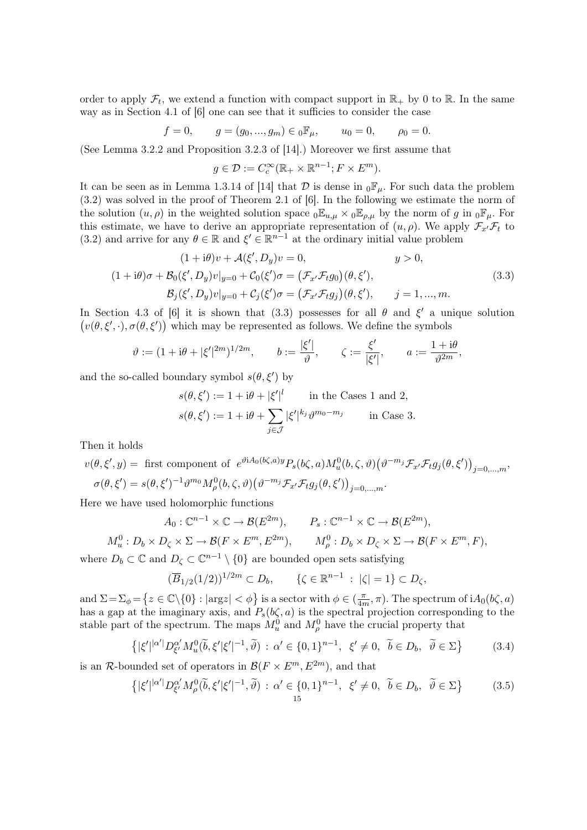order to apply  $\mathcal{F}_t$ , we extend a function with compact support in  $\mathbb{R}_+$  by 0 to  $\mathbb{R}$ . In the same way as in Section 4.1 of [6] one can see that it sufficies to consider the case

$$
f = 0,
$$
  $g = (g_0, ..., g_m) \in {}_0 \mathbb{F}_\mu,$   $u_0 = 0,$   $\rho_0 = 0.$ 

(See Lemma 3.2.2 and Proposition 3.2.3 of [14].) Moreover we first assume that

$$
g \in \mathcal{D} := C_c^{\infty}(\mathbb{R}_+ \times \mathbb{R}^{n-1}; F \times E^m).
$$

It can be seen as in Lemma 1.3.14 of [14] that  $\mathcal D$  is dense in  ${}_0\mathbb{F}_\mu$ . For such data the problem (3.2) was solved in the proof of Theorem 2.1 of [6]. In the following we estimate the norm of the solution  $(u, \rho)$  in the weighted solution space  ${}_0\mathbb{E}_{u,\mu} \times {}_0\mathbb{E}_{\rho,\mu}$  by the norm of g in  ${}_0\mathbb{F}_{\mu}$ . For this estimate, we have to derive an appropriate representation of  $(u, \rho)$ . We apply  $\mathcal{F}_{x'}\mathcal{F}_t$  to (3.2) and arrive for any  $\theta \in \mathbb{R}$  and  $\xi' \in \mathbb{R}^{n-1}$  at the ordinary initial value problem

$$
(1 + i\theta)v + \mathcal{A}(\xi', D_y)v = 0, \qquad y > 0,
$$
  

$$
(1 + i\theta)\sigma + \mathcal{B}_0(\xi', D_y)v|_{y=0} + \mathcal{C}_0(\xi')\sigma = (\mathcal{F}_{x'}\mathcal{F}_t g_0)(\theta, \xi'),
$$
  

$$
\mathcal{B}_j(\xi', D_y)v|_{y=0} + \mathcal{C}_j(\xi')\sigma = (\mathcal{F}_{x'}\mathcal{F}_t g_j)(\theta, \xi'), \qquad j = 1, ..., m.
$$
 (3.3)

In Section 4.3 of [6] it is shown that (3.3) possesses for all  $\theta$  and  $\xi'$  a unique solution  $(v(\theta, \xi', \cdot), \sigma(\theta, \xi'))$  which may be represented as follows. We define the symbols

$$
\vartheta:=(1+\mathrm{i}\theta+|\xi'|^{2m})^{1/2m},\qquad b:=\frac{|\xi'|}{\vartheta},\qquad \zeta:=\frac{\xi'}{|\xi'|},\qquad a:=\frac{1+\mathrm{i}\theta}{\vartheta^{2m}},
$$

and the so-called boundary symbol  $s(\theta, \xi')$  by

$$
s(\theta, \xi') := 1 + i\theta + |\xi'|^l \quad \text{in the Cases 1 and 2,}
$$

$$
s(\theta, \xi') := 1 + i\theta + \sum_{j \in \mathcal{J}} |\xi'|^{k_j} \vartheta^{m_0 - m_j} \quad \text{in Case 3.}
$$

Then it holds

$$
v(\theta, \xi', y) = \text{first component of } e^{\vartheta i A_0(b\zeta, a)} P_s(b\zeta, a) M_u^0(b, \zeta, \vartheta) \left(\vartheta^{-m_j} \mathcal{F}_{x'} \mathcal{F}_t g_j(\theta, \xi')\right)_{j=0,\dots,m},
$$
  

$$
\sigma(\theta, \xi') = s(\theta, \xi')^{-1} \vartheta^{m_0} M_\rho^0(b, \zeta, \vartheta) \left(\vartheta^{-m_j} \mathcal{F}_{x'} \mathcal{F}_t g_j(\theta, \xi')\right)_{j=0,\dots,m}.
$$

Here we have used holomorphic functions

$$
A_0: \mathbb{C}^{n-1} \times \mathbb{C} \to \mathcal{B}(E^{2m}), \qquad P_s: \mathbb{C}^{n-1} \times \mathbb{C} \to \mathcal{B}(E^{2m}),
$$
  

$$
M_u^0: D_b \times D_\zeta \times \Sigma \to \mathcal{B}(F \times E^m, E^{2m}), \qquad M_\rho^0: D_b \times D_\zeta \times \Sigma \to \mathcal{B}(F \times E^m, F),
$$

where  $D_b \subset \mathbb{C}$  and  $D_{\zeta} \subset \mathbb{C}^{n-1} \setminus \{0\}$  are bounded open sets satisfying

$$
(\overline{B}_{1/2}(1/2))^{1/2m} \subset D_b, \qquad \{\zeta \in \mathbb{R}^{n-1} \; : \; |\zeta| = 1\} \subset D_{\zeta},
$$

and  $\Sigma = \Sigma_{\phi} = \{ z \in \mathbb{C} \setminus \{0\} : |argz| < \phi \}$  is a sector with  $\phi \in (\frac{\pi}{4n})$  $\frac{\pi}{4m}, \pi$ ). The spectrum of i $A_0(b\zeta, a)$ has a gap at the imaginary axis, and  $P_s(b\zeta, a)$  is the spectral projection corresponding to the stable part of the spectrum. The maps  $M_u^0$  and  $M_\rho^0$  have the crucial property that

$$
\left\{ |\xi'|^{|\alpha'|} D^{\alpha'}_{\xi'} M^0_u(\tilde{b}, \xi'|\xi'|^{-1}, \tilde{\vartheta}) \, : \, \alpha' \in \{0, 1\}^{n-1}, \, \xi' \neq 0, \, \tilde{b} \in D_b, \, \tilde{\vartheta} \in \Sigma \right\} \tag{3.4}
$$

is an R-bounded set of operators in  $\mathcal{B}(F \times E^m, E^{2m})$ , and that

$$
\left\{ |\xi'|^{|\alpha'|} D^{\alpha'}_{\xi'} M^0_\rho(\widetilde{b}, \xi'|\xi'|^{-1}, \widetilde{\vartheta}) : \alpha' \in \{0, 1\}^{n-1}, \xi' \neq 0, \ \widetilde{b} \in D_b, \ \widetilde{\vartheta} \in \Sigma \right\}
$$
(3.5)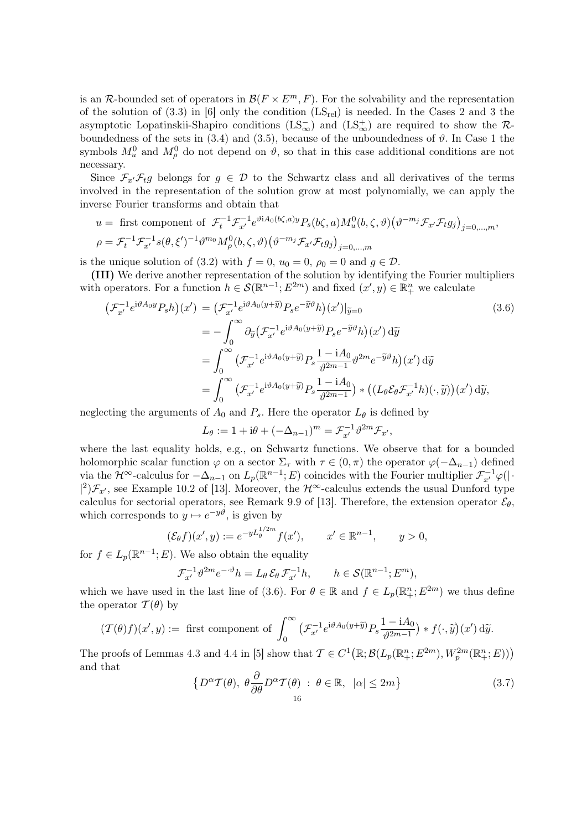is an R-bounded set of operators in  $\mathcal{B}(F \times E^m, F)$ . For the solvability and the representation of the solution of  $(3.3)$  in  $[6]$  only the condition  $(LS_{rel})$  is needed. In the Cases 2 and 3 the asymptotic Lopatinskii-Shapiro conditions  $(LS_{\infty}^-)$  and  $(LS_{\infty}^+)$  are required to show the Rboundedness of the sets in (3.4) and (3.5), because of the unboundedness of  $\vartheta$ . In Case 1 the symbols  $M_u^0$  and  $M_\rho^0$  do not depend on  $\vartheta$ , so that in this case additional conditions are not necessary.

Since  $\mathcal{F}_{r'}\mathcal{F}_t q$  belongs for  $q \in \mathcal{D}$  to the Schwartz class and all derivatives of the terms involved in the representation of the solution grow at most polynomially, we can apply the inverse Fourier transforms and obtain that

$$
u = \text{first component of } \mathcal{F}_t^{-1} \mathcal{F}_{x'}^{-1} e^{\vartheta i A_0(b\zeta, a)y} P_s(b\zeta, a) M_u^0(b, \zeta, \vartheta) \left(\vartheta^{-m_j} \mathcal{F}_{x'} \mathcal{F}_t g_j\right)_{j=0,\dots,m},
$$
  

$$
\rho = \mathcal{F}_t^{-1} \mathcal{F}_{x'}^{-1} s(\theta, \xi')^{-1} \vartheta^{m_0} M_\rho^0(b, \zeta, \vartheta) \left(\vartheta^{-m_j} \mathcal{F}_{x'} \mathcal{F}_t g_j\right)_{j=0,\dots,m}
$$

is the unique solution of (3.2) with  $f = 0$ ,  $u_0 = 0$ ,  $\rho_0 = 0$  and  $g \in \mathcal{D}$ .

(III) We derive another representation of the solution by identifying the Fourier multipliers with operators. For a function  $h \in \mathcal{S}(\mathbb{R}^{n-1}; E^{2m})$  and fixed  $(x', y) \in \mathbb{R}^n_+$  we calculate

$$
\begin{split}\n\left(\mathcal{F}_{x'}^{-1}e^{i\vartheta A_0 y}P_s h\right)(x') &= \left(\mathcal{F}_{x'}^{-1}e^{i\vartheta A_0(y+\widetilde{y})}P_se^{-\widetilde{y}\vartheta}h\right)(x')|_{\widetilde{y}=0} \\
&= -\int_0^\infty \partial_{\widetilde{y}}\left(\mathcal{F}_{x'}^{-1}e^{i\vartheta A_0(y+\widetilde{y})}P_se^{-\widetilde{y}\vartheta}h\right)(x')\,\mathrm{d}\widetilde{y} \\
&= \int_0^\infty \left(\mathcal{F}_{x'}^{-1}e^{i\vartheta A_0(y+\widetilde{y})}P_s\frac{1-iA_0}{\vartheta^{2m-1}}\vartheta^{2m}e^{-\widetilde{y}\vartheta}h\right)(x')\,\mathrm{d}\widetilde{y} \\
&= \int_0^\infty \left(\mathcal{F}_{x'}^{-1}e^{i\vartheta A_0(y+\widetilde{y})}P_s\frac{1-iA_0}{\vartheta^{2m-1}}\right) * \left((L_\theta \mathcal{E}_\theta \mathcal{F}_{x'}^{-1}h)(\cdot, \widetilde{y})\right)(x')\,\mathrm{d}\widetilde{y},\n\end{split}
$$

neglecting the arguments of  $A_0$  and  $P_s$ . Here the operator  $L_\theta$  is defined by

$$
L_{\theta} := 1 + \mathrm{i}\theta + (-\Delta_{n-1})^m = \mathcal{F}_{x'}^{-1} \vartheta^{2m} \mathcal{F}_{x'},
$$

where the last equality holds, e.g., on Schwartz functions. We observe that for a bounded holomorphic scalar function  $\varphi$  on a sector  $\Sigma_{\tau}$  with  $\tau \in (0, \pi)$  the operator  $\varphi(-\Delta_{n-1})$  defined via the  $\mathcal{H}^{\infty}$ -calculus for  $-\Delta_{n-1}$  on  $L_p(\mathbb{R}^{n-1}; E)$  coincides with the Fourier multiplier  $\mathcal{F}_{x'}^{-1}\varphi(|\cdot|E)$  $(2)\mathcal{F}_{x}$ , see Example 10.2 of [13]. Moreover, the  $\mathcal{H}^{\infty}$ -calculus extends the usual Dunford type calculus for sectorial operators, see Remark 9.9 of [13]. Therefore, the extension operator  $\mathcal{E}_{\theta}$ , which corresponds to  $y \mapsto e^{-y\vartheta}$ , is given by

$$
(\mathcal{E}_{\theta}f)(x', y) := e^{-yL_{\theta}^{1/2m}} f(x'), \qquad x' \in \mathbb{R}^{n-1}, \qquad y > 0,
$$

for  $f \in L_p(\mathbb{R}^{n-1}; E)$ . We also obtain the equality

$$
\mathcal{F}_{x'}^{-1} \vartheta^{2m} e^{-\cdot \vartheta} h = L_{\theta} \mathcal{E}_{\theta} \mathcal{F}_{x'}^{-1} h, \qquad h \in \mathcal{S}(\mathbb{R}^{n-1}; E^m),
$$

which we have used in the last line of (3.6). For  $\theta \in \mathbb{R}$  and  $f \in L_p(\mathbb{R}^n_+; E^{2m})$  we thus define the operator  $\mathcal{T}(\theta)$  by

$$
(\mathcal{T}(\theta)f)(x',y) := \text{ first component of } \int_0^\infty \left( \mathcal{F}_{x'}^{-1} e^{i\vartheta A_0(y+\widetilde{y})} P_s \frac{1-iA_0}{\vartheta^{2m-1}} \right) * f(\cdot, \widetilde{y}) (x') d\widetilde{y}.
$$

The proofs of Lemmas 4.3 and 4.4 in [5] show that  $\mathcal{T} \in C^1(\mathbb{R}; \mathcal{B}(L_p(\mathbb{R}^n_+; E^{2m}), W_p^{2m}(\mathbb{R}^n_+; E)))$ and that

$$
\left\{D^{\alpha} \mathcal{T}(\theta), \ \theta \frac{\partial}{\partial \theta} D^{\alpha} \mathcal{T}(\theta) \ : \ \theta \in \mathbb{R}, \ |\alpha| \le 2m\right\}
$$
 (3.7)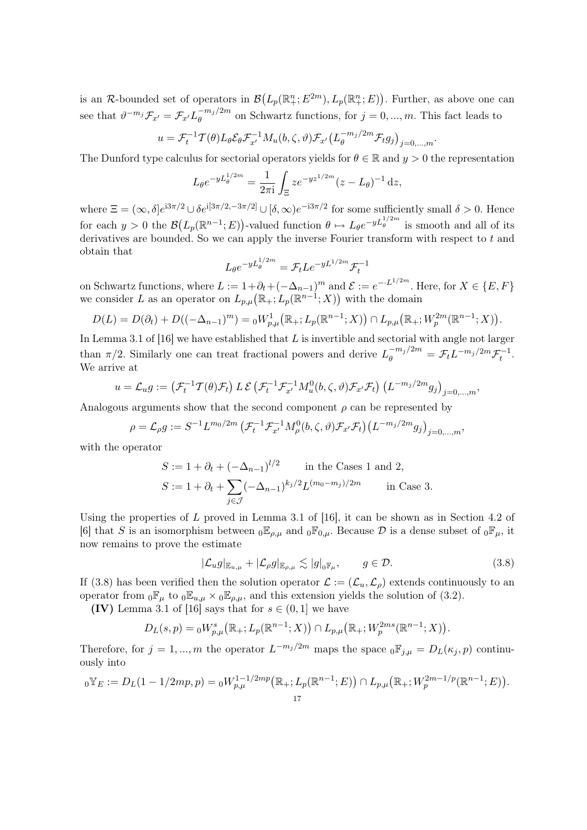is an R-bounded set of operators in  $\mathcal{B}(L_p(\mathbb{R}^n_+; E^{2m}), L_p(\mathbb{R}^n_+; E))$ . Further, as above one can see that  $\vartheta^{-m_j} \mathcal{F}_{x'} = \mathcal{F}_{x'} L_{\theta}^{-m_j/2m}$  $\theta_{\theta}^{-m_{j}/2m}$  on Schwartz functions, for  $j = 0, ..., m$ . This fact leads to

$$
u = \mathcal{F}_t^{-1} \mathcal{T}(\theta) L_{\theta} \mathcal{E}_{\theta} \mathcal{F}_{x'}^{-1} M_u(b, \zeta, \vartheta) \mathcal{F}_{x'} \big( L_{\theta}^{-m_j/2m} \mathcal{F}_t g_j \big)_{j=0,\dots,m}.
$$

The Dunford type calculus for sectorial operators yields for  $\theta \in \mathbb{R}$  and  $y > 0$  the representation

$$
L_{\theta}e^{-yL_{\theta}^{1/2m}} = \frac{1}{2\pi i} \int_{\Xi} z e^{-yz^{1/2m}} (z - L_{\theta})^{-1} dz,
$$

where  $\Xi = (\infty, \delta]e^{i3\pi/2} \cup \delta e^{i[3\pi/2, -3\pi/2]} \cup [\delta, \infty]e^{-i3\pi/2}$  for some sufficiently small  $\delta > 0$ . Hence for each  $y > 0$  the  $\mathcal{B}(L_p(\mathbb{R}^{n-1}; E))$ -valued function  $\theta \mapsto L_\theta e^{-yL_\theta^{1/2m}}$  is smooth and all of its derivatives are bounded. So we can apply the inverse Fourier transform with respect to  $t$  and obtain that

$$
L_{\theta}e^{-yL_{\theta}^{1/2m}} = \mathcal{F}_{t}Le^{-yL^{1/2m}}\mathcal{F}_{t}^{-1}
$$

on Schwartz functions, where  $L := 1 + \partial_t + (-\Delta_{n-1})^m$  and  $\mathcal{E} := e^{-\cdot L^{1/2m}}$ . Here, for  $X \in \{E, F\}$ we consider L as an operator on  $L_{p,\mu}(\mathbb{R}_+; L_p(\mathbb{R}^{n-1};X))$  with the domain

$$
D(L) = D(\partial_t) + D((-\Delta_{n-1})^m) = {}_0W^1_{p,\mu}(\mathbb{R}_+; L_p(\mathbb{R}^{n-1}; X)) \cap L_{p,\mu}(\mathbb{R}_+; W_p^{2m}(\mathbb{R}^{n-1}; X)).
$$

In Lemma 3.1 of  $[16]$  we have established that L is invertible and sectorial with angle not larger than  $\pi/2$ . Similarly one can treat fractional powers and derive  $L_{\theta}^{-m_j/2m} = \mathcal{F}_t L^{-m_j/2m} \mathcal{F}_t^{-1}$ . We arrive at

$$
u = \mathcal{L}_u g := \left( \mathcal{F}_t^{-1} \mathcal{T}(\theta) \mathcal{F}_t \right) L \mathcal{E} \left( \mathcal{F}_t^{-1} \mathcal{F}_{x'}^{-1} M_u^0(b, \zeta, \vartheta) \mathcal{F}_{x'} \mathcal{F}_t \right) \left( L^{-m_j/2m} g_j \right)_{j=0,\dots,m},
$$

Analogous arguments show that the second component  $\rho$  can be represented by

$$
\rho = \mathcal{L}_{\rho} g := S^{-1} L^{m_0/2m} \left( \mathcal{F}_t^{-1} \mathcal{F}_{x'}^{-1} M_{\rho}^0(b, \zeta, \vartheta) \mathcal{F}_{x'} \mathcal{F}_t \right) \left( L^{-m_j/2m} g_j \right)_{j=0,...,m},
$$

with the operator

$$
S := 1 + \partial_t + (-\Delta_{n-1})^{l/2} \quad \text{in the Cases 1 and 2,}
$$
  
\n
$$
S := 1 + \partial_t + \sum_{j \in J} (-\Delta_{n-1})^{k_j/2} L^{(m_0 - m_j)/2m} \quad \text{in Case 3.}
$$

Using the properties of  $L$  proved in Lemma 3.1 of [16], it can be shown as in Section 4.2 of [6] that S is an isomorphism between  $_0\mathbb{E}_{\rho,\mu}$  and  $_0\mathbb{F}_{0,\mu}$ . Because D is a dense subset of  $_0\mathbb{F}_{\mu}$ , it now remains to prove the estimate

$$
|\mathcal{L}_u g|_{\mathbb{E}_{u,\mu}} + |\mathcal{L}_\rho g|_{\mathbb{E}_{\rho,\mu}} \lesssim |g|_{\mathbf{0}^{\mathbb{F}}\mu}, \qquad g \in \mathcal{D}.\tag{3.8}
$$

If (3.8) has been verified then the solution operator  $\mathcal{L} := (\mathcal{L}_u, \mathcal{L}_\rho)$  extends continuously to an operator from  ${}_0\mathbb{F}_\mu$  to  ${}_0\mathbb{E}_{u,\mu} \times {}_0\mathbb{E}_{\rho,\mu}$ , and this extension yields the solution of (3.2).

(IV) Lemma 3.1 of [16] says that for  $s \in (0,1]$  we have

$$
D_L(s,p) = {}_0W^s_{p,\mu}(\mathbb{R}_+; L_p(\mathbb{R}^{n-1};X)) \cap L_{p,\mu}(\mathbb{R}_+; W_p^{2ms}(\mathbb{R}^{n-1};X)).
$$

Therefore, for  $j = 1, ..., m$  the operator  $L^{-m_j/2m}$  maps the space  ${}_0 \mathbb{F}_{j,\mu} = D_L(\kappa_j, p)$  continuously into

$$
{}_0\nabla_E := D_L(1 - 1/2mp, p) = {}_0W_{p,\mu}^{1-1/2mp}(\mathbb{R}_+; L_p(\mathbb{R}^{n-1}; E)) \cap L_{p,\mu}(\mathbb{R}_+; W_p^{2m-1/p}(\mathbb{R}^{n-1}; E)).
$$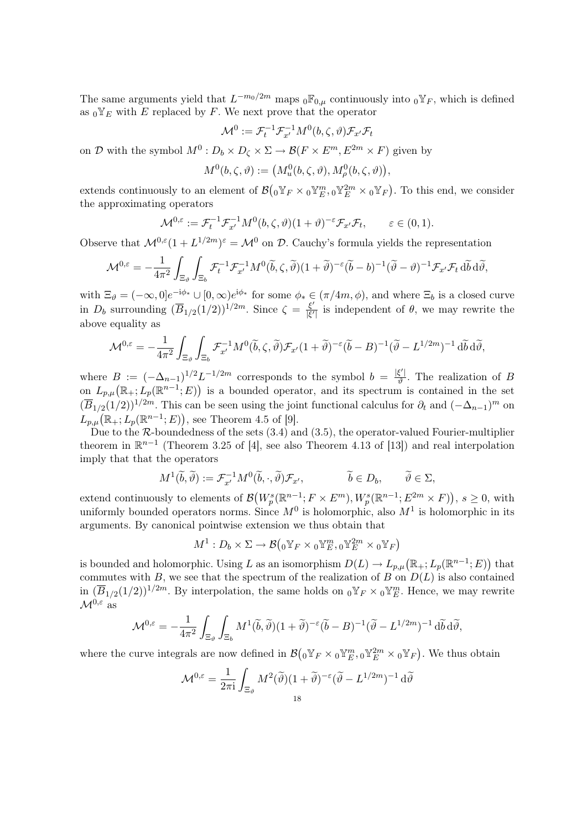The same arguments yield that  $L^{-m_0/2m}$  maps  ${}_0\mathbb{F}_{0,\mu}$  continuously into  ${}_0\mathbb{Y}_F$ , which is defined as  ${}_0$ <sup>V</sup><sub>E</sub> with E replaced by F. We next prove that the operator

$$
\mathcal{M}^0 := \mathcal{F}_t^{-1} \mathcal{F}_{x'}^{-1} M^0(b, \zeta, \vartheta) \mathcal{F}_{x'} \mathcal{F}_t
$$

on D with the symbol  $M^0: D_b \times D_\zeta \times \Sigma \to \mathcal{B}(F \times E^m, E^{2m} \times F)$  given by

$$
M^0(b,\zeta,\vartheta) := \big(M^0_u(b,\zeta,\vartheta),M^0_\rho(b,\zeta,\vartheta)\big),
$$

extends continuously to an element of  $\mathcal{B}(0\mathbb{Y}_F \times 0\mathbb{Y}_E^m, 0\mathbb{Y}_E^{2m} \times 0\mathbb{Y}_F)$ . To this end, we consider the approximating operators

$$
\mathcal{M}^{0,\varepsilon} := \mathcal{F}_t^{-1} \mathcal{F}_{x'}^{-1} M^0(b,\zeta,\vartheta) (1+\vartheta)^{-\varepsilon} \mathcal{F}_{x'} \mathcal{F}_t, \qquad \varepsilon \in (0,1).
$$

Observe that  $\mathcal{M}^{0,\varepsilon}(1+L^{1/2m})^{\varepsilon}=\mathcal{M}^0$  on  $\mathcal{D}$ . Cauchy's formula yields the representation

$$
\mathcal{M}^{0,\varepsilon} = -\frac{1}{4\pi^2} \int_{\Xi_{\vartheta}} \int_{\Xi_{b}} \mathcal{F}_{t}^{-1} \mathcal{F}_{x'}^{-1} M^{0}(\widetilde{b}, \zeta, \widetilde{\vartheta}) (1 + \widetilde{\vartheta})^{-\varepsilon} (\widetilde{b} - b)^{-1} (\widetilde{\vartheta} - \vartheta)^{-1} \mathcal{F}_{x'} \mathcal{F}_{t} d\widetilde{b} d\widetilde{\vartheta},
$$

with  $\Xi_{\vartheta} = (-\infty, 0]e^{-i\phi_*} \cup [0, \infty)e^{i\phi_*}$  for some  $\phi_* \in (\pi/4m, \phi)$ , and where  $\Xi_b$  is a closed curve in  $D_b$  surrounding  $(\overline{B}_{1/2}(1/2))^{1/2m}$ . Since  $\zeta = \frac{\xi'}{|\xi'|}$  $\frac{\xi}{|\xi'|}$  is independent of  $\theta$ , we may rewrite the above equality as

$$
\mathcal{M}^{0,\varepsilon} = -\frac{1}{4\pi^2} \int_{\Xi_{\vartheta}} \int_{\Xi_{b}} \mathcal{F}_{x'}^{-1} M^{0}(\widetilde{b}, \zeta, \widetilde{\vartheta}) \mathcal{F}_{x'} (1+\widetilde{\vartheta})^{-\varepsilon} (\widetilde{b} - B)^{-1} (\widetilde{\vartheta} - L^{1/2m})^{-1} d\widetilde{b} d\widetilde{\vartheta},
$$

where  $B := (-\Delta_{n-1})^{1/2} L^{-1/2m}$  corresponds to the symbol  $b = \frac{|\xi'|}{\vartheta}$  $\frac{\xi}{\vartheta}$ . The realization of B on  $L_{p,\mu}(\mathbb{R}_+; L_p(\mathbb{R}^{n-1}; E))$  is a bounded operator, and its spectrum is contained in the set  $(\overline{B}_{1/2}(1/2))^{1/2m}$ . This can be seen using the joint functional calculus for  $\partial_t$  and  $(-\Delta_{n-1})^m$  on  $L_{p,\mu}(\mathbb{R}_+; L_p(\mathbb{R}^{n-1}; E)),$  see Theorem 4.5 of [9].

Due to the  $R$ -boundedness of the sets  $(3.4)$  and  $(3.5)$ , the operator-valued Fourier-multiplier theorem in  $\mathbb{R}^{n-1}$  (Theorem 3.25 of [4], see also Theorem 4.13 of [13]) and real interpolation imply that that the operators

$$
M^1(\widetilde{b}, \widetilde{\vartheta}) := \mathcal{F}_{x'}^{-1} M^0(\widetilde{b}, \cdot, \widetilde{\vartheta}) \mathcal{F}_{x'}, \qquad \widetilde{b} \in D_b, \qquad \widetilde{\vartheta} \in \Sigma,
$$

extend continuously to elements of  $\mathcal{B}(W_p^s(\mathbb{R}^{n-1}; F \times E^m), W_p^s(\mathbb{R}^{n-1}; E^{2m} \times F)), s \ge 0$ , with uniformly bounded operators norms. Since  $M^0$  is holomorphic, also  $M^1$  is holomorphic in its arguments. By canonical pointwise extension we thus obtain that

$$
M^1: D_b \times \Sigma \to \mathcal{B}\left(0 \mathbb{Y}_F \times 0 \mathbb{Y}_E^m, 0 \mathbb{Y}_E^{2m} \times 0 \mathbb{Y}_F\right)
$$

is bounded and holomorphic. Using L as an isomorphism  $D(L) \to L_{p,\mu}(\mathbb{R}_+; L_p(\mathbb{R}^{n-1}; E))$  that commutes with B, we see that the spectrum of the realization of B on  $D(L)$  is also contained in  $(\overline{B}_{1/2}(1/2))^{1/2m}$ . By interpolation, the same holds on  ${}_0 \mathbb{Y}_F \times {}_0 \mathbb{Y}_E^m$ . Hence, we may rewrite  $\mathcal{M}^{0,\varepsilon}$  as

$$
\mathcal{M}^{0,\varepsilon} = -\frac{1}{4\pi^2} \int_{\Xi_{\vartheta}} \int_{\Xi_b} M^1(\widetilde{b}, \widetilde{\vartheta}) (1 + \widetilde{\vartheta})^{-\varepsilon} (\widetilde{b} - B)^{-1} (\widetilde{\vartheta} - L^{1/2m})^{-1} d\widetilde{b} d\widetilde{\vartheta},
$$

where the curve integrals are now defined in  $\mathcal{B}(0\mathbb{Y}_F\times 0\mathbb{Y}_E^m, 0\mathbb{Y}_E^{2m}\times 0\mathbb{Y}_F)$ . We thus obtain

$$
\mathcal{M}^{0,\varepsilon} = \frac{1}{2\pi i} \int_{\Xi_{\vartheta}} M^2(\widetilde{\vartheta}) (1 + \widetilde{\vartheta})^{-\varepsilon} (\widetilde{\vartheta} - L^{1/2m})^{-1} d\widetilde{\vartheta}
$$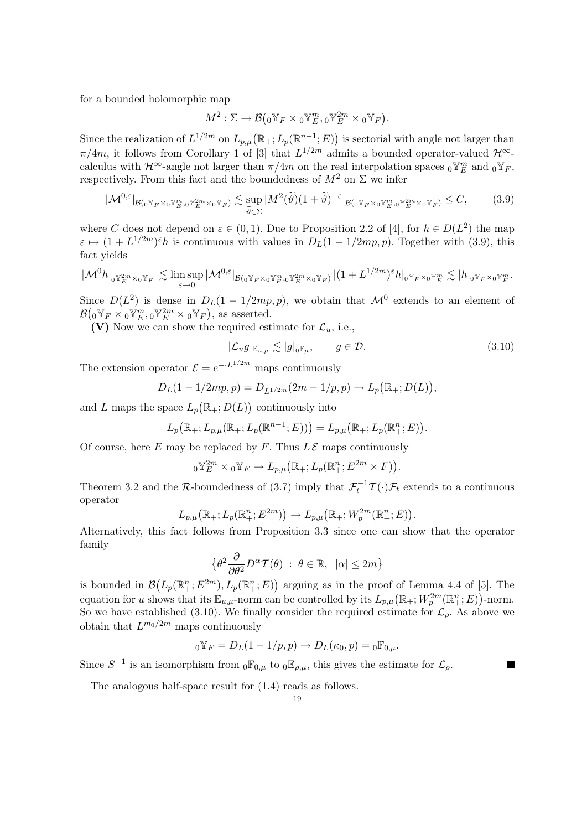for a bounded holomorphic map

$$
M^2:\Sigma\to \mathcal{B}\bigl({}_0 \mathbb{Y}_F\times{}_0 \mathbb{Y}^m_E, {}_0 \mathbb{Y}^{2m}_E\times{}_0 \mathbb{Y}_F \bigr).
$$

Since the realization of  $L^{1/2m}$  on  $L_{p,\mu}(\mathbb{R}_+; L_p(\mathbb{R}^{n-1}; E))$  is sectorial with angle not larger than  $\pi/4m$ , it follows from Corollary 1 of [3] that  $L^{1/2m}$  admits a bounded operator-valued  $\mathcal{H}^{\infty}$ calculus with  $\mathcal{H}^{\infty}$ -angle not larger than  $\pi/4m$  on the real interpolation spaces  ${}_0\Psi^m_E$  and  ${}_0\Psi_F$ , respectively. From this fact and the boundedness of  $M^2$  on  $\Sigma$  we infer

$$
|\mathcal{M}^{0,\varepsilon}|_{\mathcal{B}(0^{\mathbb{Y}_F}\times 0^{\mathbb{Y}_E^m},0^{\mathbb{Y}_E^{2m}}\times 0^{\mathbb{Y}_F})} \lesssim \sup_{\widetilde{\theta}\in\Sigma} |M^2(\widetilde{\theta})(1+\widetilde{\theta})^{-\varepsilon}|_{\mathcal{B}(0^{\mathbb{Y}_F}\times 0^{\mathbb{Y}_E^m},0^{\mathbb{Y}_E^{2m}}\times 0^{\mathbb{Y}_F})} \leq C,\tag{3.9}
$$

where C does not depend on  $\varepsilon \in (0,1)$ . Due to Proposition 2.2 of [4], for  $h \in D(L^2)$  the map  $\varepsilon \mapsto (1 + L^{1/2m})^{\varepsilon} h$  is continuous with values in  $D_L(1 - 1/2mp, p)$ . Together with (3.9), this fact yields

$$
|\mathcal{M}^0 h|_{0^{\mathbb{Y}_E^{2m}\times_0\mathbb{Y}_F}} \lesssim \limsup_{\varepsilon\to 0} |\mathcal{M}^{0,\varepsilon}|_{\mathcal{B}(0^{\mathbb{Y}_F\times_0\mathbb{Y}_E^m,0^{\mathbb{Y}_E^{2m}\times_0\mathbb{Y}_F})}}|(1+L^{1/2m})^{\varepsilon}h|_{0^{\mathbb{Y}_F\times_0\mathbb{Y}_E^m}} \lesssim |h|_{0^{\mathbb{Y}_F\times_0\mathbb{Y}_E^m}}.
$$

Since  $D(L^2)$  is dense in  $D<sub>L</sub>(1-1/2mp,p)$ , we obtain that  $\mathcal{M}^0$  extends to an element of  $\mathcal{B}(0\mathbb{Y}_F\times 0\mathbb{Y}_E^m,0\mathbb{Y}_E^{2m}\times 0\mathbb{Y}_F),$  as asserted.

(V) Now we can show the required estimate for  $\mathcal{L}_u$ , i.e.,

$$
|\mathcal{L}_u g|_{\mathbb{E}_{u,\mu}} \lesssim |g|_{0}\mathbb{F}_{\mu}, \qquad g \in \mathcal{D}.\tag{3.10}
$$

П

The extension operator  $\mathcal{E} = e^{-L^{1/2m}}$  maps continuously

$$
D_L(1 - 1/2mp, p) = D_{L^{1/2m}}(2m - 1/p, p) \to L_p(\mathbb{R}_+; D(L)),
$$

and L maps the space  $L_p(\mathbb{R}_+; D(L))$  continuously into

$$
L_p(\mathbb{R}_+; L_{p,\mu}(\mathbb{R}_+; L_p(\mathbb{R}^{n-1}; E))) = L_{p,\mu}(\mathbb{R}_+; L_p(\mathbb{R}_+^n; E)).
$$

Of course, here E may be replaced by F. Thus  $L\mathcal{E}$  maps continuously

$$
{}_0\nu_E^{2m} \times {}_0\nu_F \to L_{p,\mu}(\mathbb{R}_+; L_p(\mathbb{R}_+^n; E^{2m} \times F)).
$$

Theorem 3.2 and the R-boundedness of (3.7) imply that  $\mathcal{F}_t^{-1}\mathcal{T}(\cdot)\mathcal{F}_t$  extends to a continuous operator

$$
L_{p,\mu}\big(\mathbb{R}_+; L_p(\mathbb{R}_+^n; E^{2m})\big) \to L_{p,\mu}\big(\mathbb{R}_+; W_p^{2m}(\mathbb{R}_+^n; E)\big).
$$

Alternatively, this fact follows from Proposition 3.3 since one can show that the operator family

$$
\left\{\theta^2 \frac{\partial}{\partial \theta^2} D^{\alpha} \mathcal{T}(\theta) \; : \; \theta \in \mathbb{R}, \; |\alpha| \le 2m\right\}
$$

is bounded in  $\mathcal{B}(L_p(\mathbb{R}^n_+; E^{2m}), L_p(\mathbb{R}^n_+; E))$  arguing as in the proof of Lemma 4.4 of [5]. The equation for u shows that its  $\mathbb{E}_{u,\mu}$ -norm can be controlled by its  $L_{p,\mu}(\mathbb{R}_+; W_p^{2m}(\mathbb{R}_+^n; E))$ -norm. So we have established (3.10). We finally consider the required estimate for  $\mathcal{L}_{\rho}$ . As above we obtain that  $L^{m_0/2m}$  maps continuously

$$
{}_0\Psi_F = D_L(1 - 1/p, p) \to D_L(\kappa_0, p) = {}_0\mathbb{F}_{0,\mu}.
$$

Since  $S^{-1}$  is an isomorphism from  ${}_0\mathbb{F}_{0,\mu}$  to  ${}_0\mathbb{E}_{\rho,\mu}$ , this gives the estimate for  $\mathcal{L}_{\rho}$ .

The analogous half-space result for (1.4) reads as follows.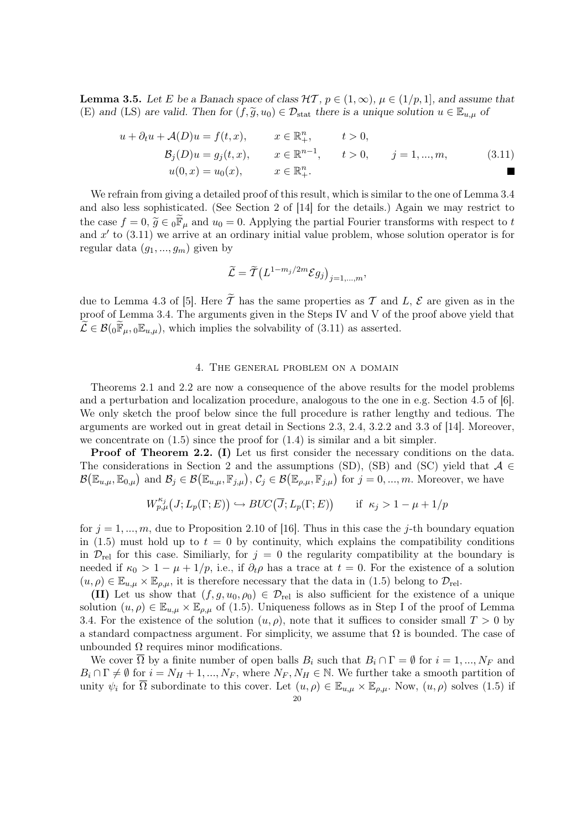**Lemma 3.5.** Let E be a Banach space of class  $\mathcal{HT}, p \in (1,\infty), \mu \in (1/p,1]$ , and assume that (E) and (LS) are valid. Then for  $(f, \tilde{g}, u_0) \in \mathcal{D}_{stat}$  there is a unique solution  $u \in \mathbb{E}_{u,\mu}$  of

$$
u + \partial_t u + \mathcal{A}(D)u = f(t, x), \qquad x \in \mathbb{R}^n_+, \qquad t > 0, \n\mathcal{B}_j(D)u = g_j(t, x), \qquad x \in \mathbb{R}^{n-1}, \qquad t > 0, \qquad j = 1, ..., m, \n u(0, x) = u_0(x), \qquad x \in \mathbb{R}^n_+.
$$
\n(3.11)

We refrain from giving a detailed proof of this result, which is similar to the one of Lemma 3.4 and also less sophisticated. (See Section 2 of [14] for the details.) Again we may restrict to the case  $f = 0$ ,  $\tilde{g} \in 0 \mathbb{F}_{\mu}$  and  $u_0 = 0$ . Applying the partial Fourier transforms with respect to t and  $x'$  to  $(3.11)$  we arrive at an ordinary initial value problem, whose solution operator is for regular data  $(g_1, ..., g_m)$  given by

$$
\widetilde{\mathcal{L}} = \widetilde{\mathcal{T}} \left( L^{1-m_j/2m} \mathcal{E} g_j \right)_{j=1,\dots,m},
$$

due to Lemma 4.3 of [5]. Here  $\widetilde{T}$  has the same properties as T and L, E are given as in the proof of Lemma 3.4. The arguments given in the Steps IV and V of the proof above yield that  $\mathcal{L} \in \mathcal{B}(0\mathbb{F}_{\mu}, 0\mathbb{E}_{u,\mu})$ , which implies the solvability of  $(3.11)$  as asserted.

### 4. The general problem on a domain

Theorems 2.1 and 2.2 are now a consequence of the above results for the model problems and a perturbation and localization procedure, analogous to the one in e.g. Section 4.5 of [6]. We only sketch the proof below since the full procedure is rather lengthy and tedious. The arguments are worked out in great detail in Sections 2.3, 2.4, 3.2.2 and 3.3 of [14]. Moreover, we concentrate on  $(1.5)$  since the proof for  $(1.4)$  is similar and a bit simpler.

Proof of Theorem 2.2. (I) Let us first consider the necessary conditions on the data. The considerations in Section 2 and the assumptions (SD), (SB) and (SC) yield that  $A \in$  $\mathcal{B}(\mathbb{E}_{u,\mu}, \mathbb{E}_{0,\mu})$  and  $\mathcal{B}_j \in \mathcal{B}(\mathbb{E}_{u,\mu}, \mathbb{F}_{j,\mu}), \mathcal{C}_j \in \mathcal{B}(\mathbb{E}_{\rho,\mu}, \mathbb{F}_{j,\mu})$  for  $j = 0, ..., m$ . Moreover, we have

$$
W_{p,\mu}^{\kappa_j}(J;L_p(\Gamma;E)) \hookrightarrow BUC(\overline{J};L_p(\Gamma;E)) \quad \text{if } \kappa_j > 1 - \mu + 1/p
$$

for  $j = 1, ..., m$ , due to Proposition 2.10 of [16]. Thus in this case the j-th boundary equation in (1.5) must hold up to  $t = 0$  by continuity, which explains the compatibility conditions in  $\mathcal{D}_{rel}$  for this case. Similiarly, for  $j = 0$  the regularity compatibility at the boundary is needed if  $\kappa_0 > 1 - \mu + 1/p$ , i.e., if  $\partial_t \rho$  has a trace at  $t = 0$ . For the existence of a solution  $(u, \rho) \in \mathbb{E}_{u,\mu} \times \mathbb{E}_{\rho,\mu}$ , it is therefore necessary that the data in (1.5) belong to  $\mathcal{D}_{rel}$ .

(II) Let us show that  $(f, g, u_0, \rho_0) \in \mathcal{D}_{rel}$  is also sufficient for the existence of a unique solution  $(u, \rho) \in \mathbb{E}_{u,\mu} \times \mathbb{E}_{\rho,\mu}$  of (1.5). Uniqueness follows as in Step I of the proof of Lemma 3.4. For the existence of the solution  $(u, \rho)$ , note that it suffices to consider small  $T > 0$  by a standard compactness argument. For simplicity, we assume that  $\Omega$  is bounded. The case of unbounded  $\Omega$  requires minor modifications.

We cover  $\Omega$  by a finite number of open balls  $B_i$  such that  $B_i \cap \Gamma = \emptyset$  for  $i = 1, ..., N_F$  and  $B_i \cap \Gamma \neq \emptyset$  for  $i = N_H + 1, ..., N_F$ , where  $N_F, N_H \in \mathbb{N}$ . We further take a smooth partition of unity  $\psi_i$  for  $\overline{\Omega}$  subordinate to this cover. Let  $(u, \rho) \in \mathbb{E}_{u,\mu} \times \mathbb{E}_{\rho,\mu}$ . Now,  $(u, \rho)$  solves (1.5) if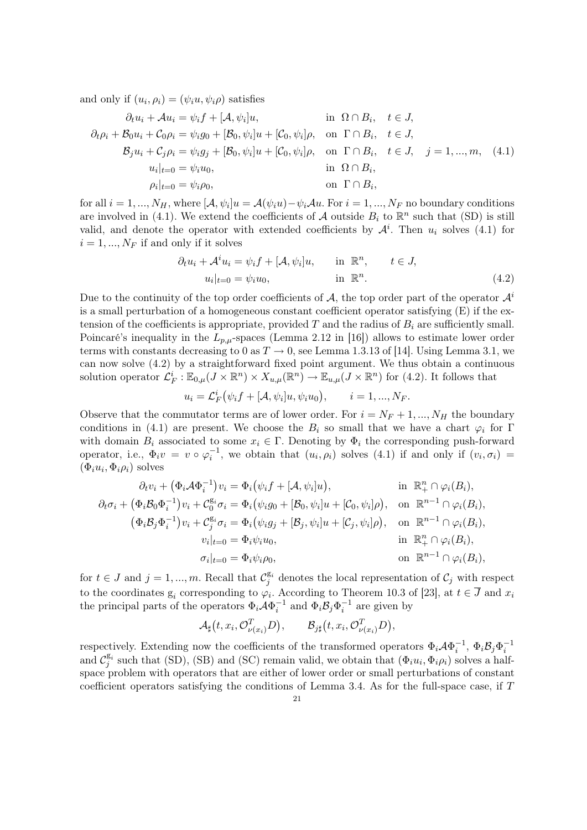and only if  $(u_i, \rho_i) = (\psi_i u, \psi_i \rho)$  satisfies

$$
\partial_t u_i + \mathcal{A} u_i = \psi_i f + [\mathcal{A}, \psi_i] u, \qquad \text{in } \Omega \cap B_i, \quad t \in J,
$$
  
\n
$$
\partial_t \rho_i + \mathcal{B}_0 u_i + \mathcal{C}_0 \rho_i = \psi_i g_0 + [\mathcal{B}_0, \psi_i] u + [\mathcal{C}_0, \psi_i] \rho, \quad \text{on } \Gamma \cap B_i, \quad t \in J,
$$
  
\n
$$
\mathcal{B}_j u_i + \mathcal{C}_j \rho_i = \psi_i g_j + [\mathcal{B}_0, \psi_i] u + [\mathcal{C}_0, \psi_i] \rho, \quad \text{on } \Gamma \cap B_i, \quad t \in J, \quad j = 1, ..., m, \quad (4.1)
$$
  
\n
$$
u_i|_{t=0} = \psi_i u_0, \qquad \text{in } \Omega \cap B_i,
$$
  
\n
$$
\rho_i|_{t=0} = \psi_i \rho_0, \qquad \text{on } \Gamma \cap B_i,
$$

for all  $i = 1, ..., N_H$ , where  $[\mathcal{A}, \psi_i]u = \mathcal{A}(\psi_i u) - \psi_i \mathcal{A}u$ . For  $i = 1, ..., N_F$  no boundary conditions are involved in (4.1). We extend the coefficients of A outside  $B_i$  to  $\mathbb{R}^n$  such that (SD) is still valid, and denote the operator with extended coefficients by  $\mathcal{A}^i$ . Then  $u_i$  solves (4.1) for  $i = 1, ..., N_F$  if and only if it solves

$$
\partial_t u_i + \mathcal{A}^i u_i = \psi_i f + [\mathcal{A}, \psi_i] u, \quad \text{in } \mathbb{R}^n, \quad t \in J,
$$
  

$$
u_i|_{t=0} = \psi_i u_0, \quad \text{in } \mathbb{R}^n.
$$
 (4.2)

Due to the continuity of the top order coefficients of A, the top order part of the operator  $\mathcal{A}^i$ is a small perturbation of a homogeneous constant coefficient operator satisfying (E) if the extension of the coefficients is appropriate, provided  $T$  and the radius of  $B_i$  are sufficiently small. Poincaré's inequality in the  $L_{p,\mu}$ -spaces (Lemma 2.12 in [16]) allows to estimate lower order terms with constants decreasing to 0 as  $T \to 0$ , see Lemma 1.3.13 of [14]. Using Lemma 3.1, we can now solve (4.2) by a straightforward fixed point argument. We thus obtain a continuous solution operator  $\mathcal{L}_F^i : \mathbb{E}_{0,\mu}(J \times \mathbb{R}^n) \times X_{u,\mu}(\mathbb{R}^n) \to \mathbb{E}_{u,\mu}(J \times \mathbb{R}^n)$  for (4.2). It follows that

$$
u_i = \mathcal{L}_F^i(\psi_i f + [\mathcal{A}, \psi_i]u, \psi_i u_0), \qquad i = 1, ..., N_F.
$$

Observe that the commutator terms are of lower order. For  $i = N_F + 1, ..., N_H$  the boundary conditions in (4.1) are present. We choose the  $B_i$  so small that we have a chart  $\varphi_i$  for  $\Gamma$ with domain  $B_i$  associated to some  $x_i \in \Gamma$ . Denoting by  $\Phi_i$  the corresponding push-forward operator, i.e.,  $\Phi_i v = v \circ \varphi_i^{-1}$ , we obtain that  $(u_i, \rho_i)$  solves (4.1) if and only if  $(v_i, \sigma_i)$  $(\Phi_i u_i, \Phi_i \rho_i)$  solves

$$
\partial_t v_i + (\Phi_i \mathcal{A} \Phi_i^{-1}) v_i = \Phi_i (\psi_i f + [\mathcal{A}, \psi_i] u), \qquad \text{in } \mathbb{R}_+^n \cap \varphi_i(B_i),
$$
  

$$
\partial_t \sigma_i + (\Phi_i \mathcal{B}_0 \Phi_i^{-1}) v_i + C_0^{\mathcal{B}_i} \sigma_i = \Phi_i (\psi_i g_0 + [\mathcal{B}_0, \psi_i] u + [\mathcal{C}_0, \psi_i] \rho), \quad \text{on } \mathbb{R}^{n-1} \cap \varphi_i(B_i),
$$
  

$$
(\Phi_i \mathcal{B}_j \Phi_i^{-1}) v_i + C_j^{\mathcal{B}_i} \sigma_i = \Phi_i (\psi_i g_j + [\mathcal{B}_j, \psi_i] u + [\mathcal{C}_j, \psi_i] \rho), \quad \text{on } \mathbb{R}^{n-1} \cap \varphi_i(B_i),
$$
  

$$
v_i|_{t=0} = \Phi_i \psi_i \rho_0, \qquad \text{on } \mathbb{R}^{n-1} \cap \varphi_i(B_i),
$$

for  $t \in J$  and  $j = 1, ..., m$ . Recall that  $\mathcal{C}^{g_i}_j$  denotes the local representation of  $\mathcal{C}_j$  with respect to the coordinates  $g_i$  corresponding to  $\varphi_i$ . According to Theorem 10.3 of [23], at  $t \in \overline{J}$  and  $x_i$ the principal parts of the operators  $\Phi_i \mathcal{A} \Phi_i^{-1}$  and  $\Phi_i \mathcal{B}_j \Phi_i^{-1}$  are given by

$$
\mathcal{A}_{\sharp}(t,x_i,\mathcal{O}_{\nu(x_i)}^T D), \qquad \mathcal{B}_{j\sharp}(t,x_i,\mathcal{O}_{\nu(x_i)}^T D),
$$

respectively. Extending now the coefficients of the transformed operators  $\Phi_i A \Phi_i^{-1}$ ,  $\Phi_i B_j \Phi_i^{-1}$ and  $\mathcal{C}_j^{\mathcal{S}_i}$  such that (SD), (SB) and (SC) remain valid, we obtain that  $(\Phi_i u_i, \Phi_i \rho_i)$  solves a halfspace problem with operators that are either of lower order or small perturbations of constant coefficient operators satisfying the conditions of Lemma 3.4. As for the full-space case, if T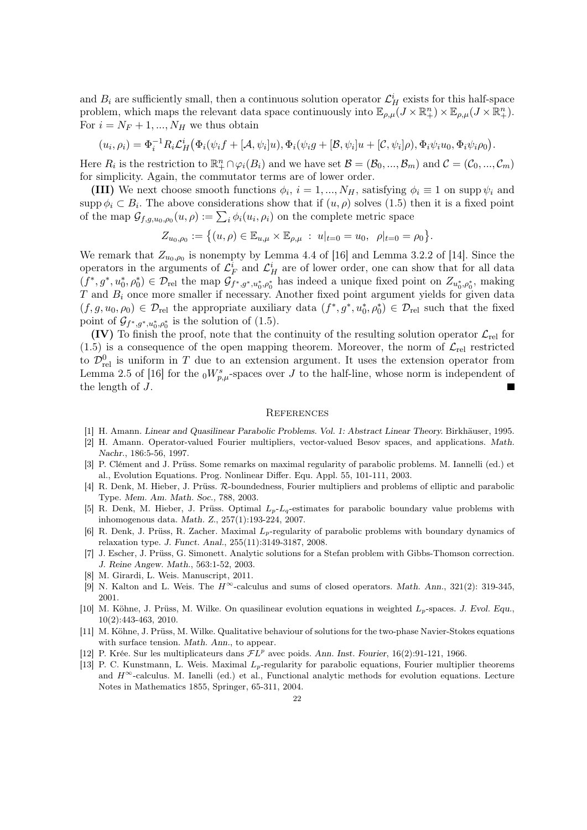and  $B_i$  are sufficiently small, then a continuous solution operator  $\mathcal{L}^i_H$  exists for this half-space problem, which maps the relevant data space continuously into  $\mathbb{E}_{\rho,\mu}(J \times \mathbb{R}^n_+) \times \mathbb{E}_{\rho,\mu}(J \times \mathbb{R}^n_+)$ . For  $i = N_F + 1, ..., N_H$  we thus obtain

$$
(u_i, \rho_i) = \Phi_i^{-1} R_i \mathcal{L}_H^i \big( \Phi_i(\psi_i f + [\mathcal{A}, \psi_i]u), \Phi_i(\psi_i g + [\mathcal{B}, \psi_i]u + [\mathcal{C}, \psi_i]\rho), \Phi_i\psi_i u_0, \Phi_i\psi_i \rho_0 \big).
$$

Here  $R_i$  is the restriction to  $\mathbb{R}_+^n \cap \varphi_i(B_i)$  and we have set  $\mathcal{B} = (\mathcal{B}_0, ..., \mathcal{B}_m)$  and  $\mathcal{C} = (\mathcal{C}_0, ..., \mathcal{C}_m)$ for simplicity. Again, the commutator terms are of lower order.

(III) We next choose smooth functions  $\phi_i$ ,  $i = 1, ..., N_H$ , satisfying  $\phi_i \equiv 1$  on supp  $\psi_i$  and supp  $\phi_i \subset B_i$ . The above considerations show that if  $(u, \rho)$  solves  $(1.5)$  then it is a fixed point of the map  $\mathcal{G}_{f,g,u_0,\rho_0}(u,\rho) := \sum_i \phi_i(u_i,\rho_i)$  on the complete metric space

$$
Z_{u_0,\rho_0}:=\big\{(u,\rho)\in \mathbb{E}_{u,\mu}\times \mathbb{E}_{\rho,\mu}\;:\; u|_{t=0}=u_0,\;\;\rho|_{t=0}=\rho_0\big\}.
$$

We remark that  $Z_{u_0,\rho_0}$  is nonempty by Lemma 4.4 of [16] and Lemma 3.2.2 of [14]. Since the operators in the arguments of  $\mathcal{L}_F^i$  and  $\mathcal{L}_H^i$  are of lower order, one can show that for all data  $(f^*, g^*, u_0^*, \rho_0^*) \in \mathcal{D}_{rel}$  the map  $\mathcal{G}_{f^*, g^*, u_0^*, \rho_0^*}$  has indeed a unique fixed point on  $Z_{u_0^*, \rho_0^*}$ , making  $T$  and  $B_i$  once more smaller if necessary. Another fixed point argument yields for given data  $(f,g,u_0,\rho_0) \in \mathcal{D}_{rel}$  the appropriate auxiliary data  $(f^*,g^*,u_0^*,\rho_0^*) \in \mathcal{D}_{rel}$  such that the fixed point of  $\mathcal{G}_{f^*,g^*,u_0^*,\rho_0^*}$  is the solution of (1.5).

(IV) To finish the proof, note that the continuity of the resulting solution operator  $\mathcal{L}_{rel}$  for  $(1.5)$  is a consequence of the open mapping theorem. Moreover, the norm of  $\mathcal{L}_{rel}$  restricted to  $\mathcal{D}_{rel}^0$  is uniform in T due to an extension argument. It uses the extension operator from Lemma 2.5 of [16] for the  $_0W^s_{p,\mu}$ -spaces over J to the half-line, whose norm is independent of the length of J.

#### **REFERENCES**

- [1] H. Amann. Linear and Quasilinear Parabolic Problems. Vol. 1: Abstract Linear Theory. Birkhäuser, 1995.
- [2] H. Amann. Operator-valued Fourier multipliers, vector-valued Besov spaces, and applications. Math. Nachr., 186:5-56, 1997.
- [3] P. Clément and J. Prüss. Some remarks on maximal regularity of parabolic problems. M. Iannelli (ed.) et al., Evolution Equations. Prog. Nonlinear Differ. Equ. Appl. 55, 101-111, 2003.
- [4] R. Denk, M. Hieber, J. Prüss. R-boundedness, Fourier multipliers and problems of elliptic and parabolic Type. Mem. Am. Math. Soc., 788, 2003.
- [5] R. Denk, M. Hieber, J. Prüss. Optimal  $L_p-L_q$ -estimates for parabolic boundary value problems with inhomogenous data. Math. Z., 257(1):193-224, 2007.
- [6] R. Denk, J. Prüss, R. Zacher. Maximal  $L_p$ -regularity of parabolic problems with boundary dynamics of relaxation type. J. Funct. Anal., 255(11):3149-3187, 2008.
- [7] J. Escher, J. Prüss, G. Simonett. Analytic solutions for a Stefan problem with Gibbs-Thomson correction. J. Reine Angew. Math., 563:1-52, 2003.
- [8] M. Girardi, L. Weis. Manuscript, 2011.
- [9] N. Kalton and L. Weis. The  $H^{\infty}$ -calculus and sums of closed operators. Math. Ann., 321(2): 319-345, 2001.
- [10] M. Köhne, J. Prüss, M. Wilke. On quasilinear evolution equations in weighted  $L_p$ -spaces. J. Evol. Equ., 10(2):443-463, 2010.
- [11] M. Köhne, J. Prüss, M. Wilke. Qualitative behaviour of solutions for the two-phase Navier-Stokes equations with surface tension. Math. Ann., to appear.
- [12] P. Krée. Sur les multiplicateurs dans  $FL^p$  avec poids. Ann. Inst. Fourier, 16(2):91-121, 1966.
- [13] P. C. Kunstmann, L. Weis. Maximal  $L<sub>p</sub>$ -regularity for parabolic equations, Fourier multiplier theorems and  $H^{\infty}$ -calculus. M. Ianelli (ed.) et al., Functional analytic methods for evolution equations. Lecture Notes in Mathematics 1855, Springer, 65-311, 2004.